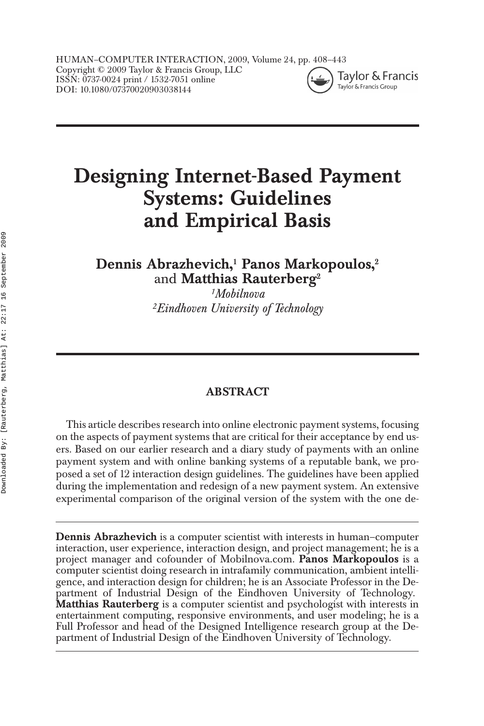# **Designing Internet-Based Payment Systems: Guidelines and Empirical Basis**

**Dennis Abrazhevich,1 Panos Markopoulos,2** and **Matthias Rauterberg2**

> *1Mobilnova 2Eindhoven University of Technology*

## **ABSTRACT**

This article describes research into online electronic payment systems, focusing on the aspects of payment systems that are critical for their acceptance by end users. Based on our earlier research and a diary study of payments with an online payment system and with online banking systems of a reputable bank, we proposed a set of 12 interaction design guidelines. The guidelines have been applied during the implementation and redesign of a new payment system. An extensive experimental comparison of the original version of the system with the one de-

**Dennis Abrazhevich** is a computer scientist with interests in human–computer interaction, user experience, interaction design, and project management; he is a project manager and cofounder of Mobilnova.com. **Panos Markopoulos** is a computer scientist doing research in intrafamily communication, ambient intelligence, and interaction design for children; he is an Associate Professor in the Department of Industrial Design of the Eindhoven University of Technology. **Matthias Rauterberg** is a computer scientist and psychologist with interests in entertainment computing, responsive environments, and user modeling; he is a Full Professor and head of the Designed Intelligence research group at the Department of Industrial Design of the Eindhoven University of Technology.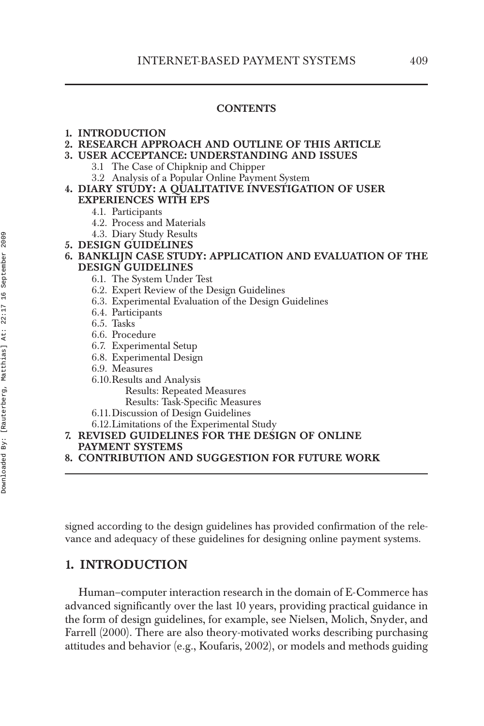#### **CONTENTS**

#### **1. INTRODUCTION**

#### **2. RESEARCH APPROACH AND OUTLINE OF THIS ARTICLE**

- **3. USER ACCEPTANCE: UNDERSTANDING AND ISSUES**
	- 3.1 The Case of Chipknip and Chipper
	- 3.2 Analysis of a Popular Online Payment System

```
4. DIARY STUDY: A QUALITATIVE INVESTIGATION OF USER
  EXPERIENCES WITH EPS
```
- 4.1. Participants
- 4.2. Process and Materials
- 4.3. Diary Study Results
- **5. DESIGN GUIDELINES**
- **6. BANKLIJN CASE STUDY: APPLICATION AND EVALUATION OF THE DESIGN GUIDELINES**
	- 6.1. The System Under Test
	- 6.2. Expert Review of the Design Guidelines
	- 6.3. Experimental Evaluation of the Design Guidelines
	- 6.4. Participants
	- 6.5. Tasks
	- 6.6. Procedure
	- 6.7. Experimental Setup
	- 6.8. Experimental Design
	- 6.9. Measures
	- 6.10.Results and Analysis
		- Results: Repeated Measures

Results: Task-Specific Measures

- 6.11.Discussion of Design Guidelines
- 6.12.Limitations of the Experimental Study
- **7. REVISED GUIDELINES FOR THE DESIGN OF ONLINE**

**PAYMENT SYSTEMS**

**8. CONTRIBUTION AND SUGGESTION FOR FUTURE WORK**

signed according to the design guidelines has provided confirmation of the relevance and adequacy of these guidelines for designing online payment systems.

## **1. INTRODUCTION**

Human–computer interaction research in the domain of E-Commerce has advanced significantly over the last 10 years, providing practical guidance in the form of design guidelines, for example, see Nielsen, Molich, Snyder, and Farrell (2000). There are also theory-motivated works describing purchasing attitudes and behavior (e.g., Koufaris, 2002), or models and methods guiding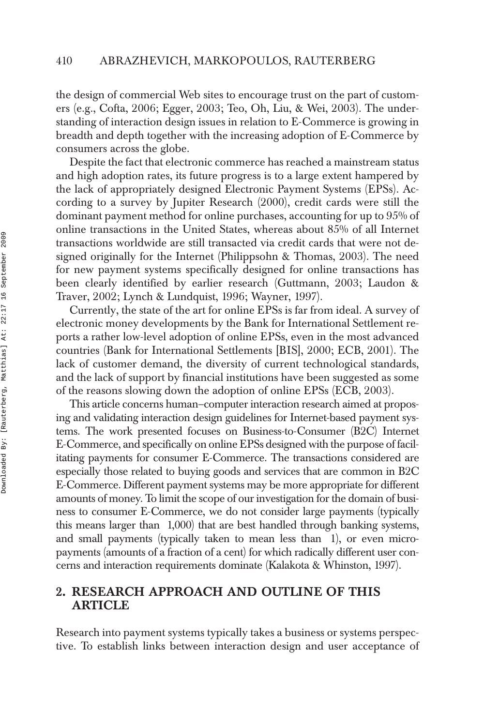the design of commercial Web sites to encourage trust on the part of customers (e.g., Cofta, 2006; Egger, 2003; Teo, Oh, Liu, & Wei, 2003). The understanding of interaction design issues in relation to E-Commerce is growing in breadth and depth together with the increasing adoption of E-Commerce by consumers across the globe.

Despite the fact that electronic commerce has reached a mainstream status and high adoption rates, its future progress is to a large extent hampered by the lack of appropriately designed Electronic Payment Systems (EPSs). According to a survey by Jupiter Research (2000), credit cards were still the dominant payment method for online purchases, accounting for up to 95% of online transactions in the United States, whereas about 85% of all Internet transactions worldwide are still transacted via credit cards that were not designed originally for the Internet (Philippsohn & Thomas, 2003). The need for new payment systems specifically designed for online transactions has been clearly identified by earlier research (Guttmann, 2003; Laudon & Traver, 2002; Lynch & Lundquist, 1996; Wayner, 1997).

Currently, the state of the art for online EPSs is far from ideal. A survey of electronic money developments by the Bank for International Settlement reports a rather low-level adoption of online EPSs, even in the most advanced countries (Bank for International Settlements [BIS], 2000; ECB, 2001). The lack of customer demand, the diversity of current technological standards, and the lack of support by financial institutions have been suggested as some of the reasons slowing down the adoption of online EPSs (ECB, 2003).

This article concerns human–computer interaction research aimed at proposing and validating interaction design guidelines for Internet-based payment systems. The work presented focuses on Business-to-Consumer (B2C) Internet E-Commerce, and specifically on online EPSs designed with the purpose of facilitating payments for consumer E-Commerce. The transactions considered are especially those related to buying goods and services that are common in B2C E-Commerce. Different payment systems may be more appropriate for different amounts of money. To limit the scope of our investigation for the domain of business to consumer E-Commerce, we do not consider large payments (typically this means larger than 1,000) that are best handled through banking systems, and small payments (typically taken to mean less than 1), or even micropayments (amounts of a fraction of a cent) for which radically different user concerns and interaction requirements dominate (Kalakota & Whinston, 1997).

## **2. RESEARCH APPROACH AND OUTLINE OF THIS ARTICLE**

Research into payment systems typically takes a business or systems perspective. To establish links between interaction design and user acceptance of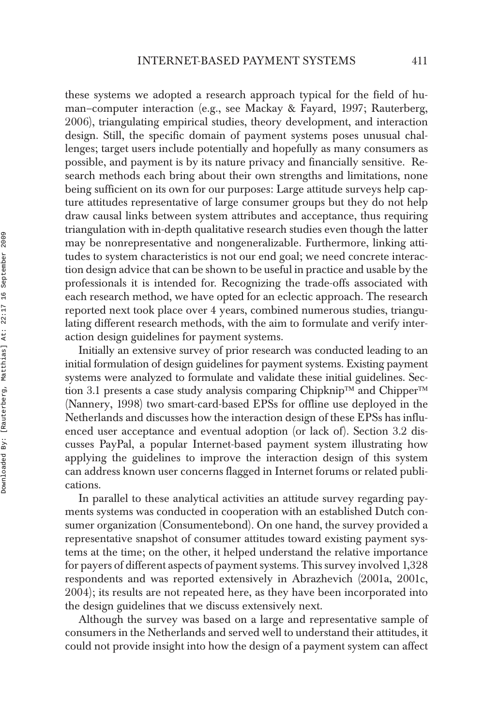these systems we adopted a research approach typical for the field of human–computer interaction (e.g., see Mackay & Fayard, 1997; Rauterberg, 2006), triangulating empirical studies, theory development, and interaction design. Still, the specific domain of payment systems poses unusual challenges; target users include potentially and hopefully as many consumers as possible, and payment is by its nature privacy and financially sensitive. Research methods each bring about their own strengths and limitations, none being sufficient on its own for our purposes: Large attitude surveys help capture attitudes representative of large consumer groups but they do not help draw causal links between system attributes and acceptance, thus requiring triangulation with in-depth qualitative research studies even though the latter may be nonrepresentative and nongeneralizable. Furthermore, linking attitudes to system characteristics is not our end goal; we need concrete interaction design advice that can be shown to be useful in practice and usable by the professionals it is intended for. Recognizing the trade-offs associated with each research method, we have opted for an eclectic approach. The research reported next took place over 4 years, combined numerous studies, triangulating different research methods, with the aim to formulate and verify interaction design guidelines for payment systems.

Initially an extensive survey of prior research was conducted leading to an initial formulation of design guidelines for payment systems. Existing payment systems were analyzed to formulate and validate these initial guidelines. Section 3.1 presents a case study analysis comparing Chipknip™ and Chipper™ (Nannery, 1998) two smart-card-based EPSs for offline use deployed in the Netherlands and discusses how the interaction design of these EPSs has influenced user acceptance and eventual adoption (or lack of). Section 3.2 discusses PayPal, a popular Internet-based payment system illustrating how applying the guidelines to improve the interaction design of this system can address known user concerns flagged in Internet forums or related publications.

In parallel to these analytical activities an attitude survey regarding payments systems was conducted in cooperation with an established Dutch consumer organization (Consumentebond). On one hand, the survey provided a representative snapshot of consumer attitudes toward existing payment systems at the time; on the other, it helped understand the relative importance for payers of different aspects of payment systems. This survey involved 1,328 respondents and was reported extensively in Abrazhevich (2001a, 2001c, 2004); its results are not repeated here, as they have been incorporated into the design guidelines that we discuss extensively next.

Although the survey was based on a large and representative sample of consumers in the Netherlands and served well to understand their attitudes, it could not provide insight into how the design of a payment system can affect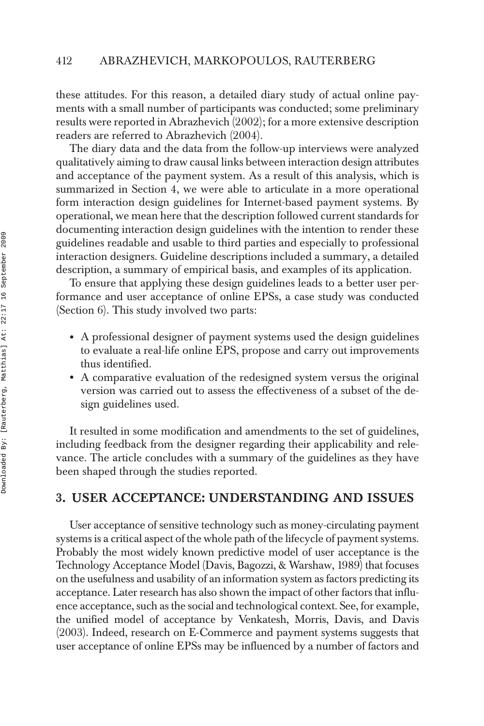these attitudes. For this reason, a detailed diary study of actual online payments with a small number of participants was conducted; some preliminary results were reported in Abrazhevich (2002); for a more extensive description readers are referred to Abrazhevich (2004).

The diary data and the data from the follow-up interviews were analyzed qualitatively aiming to draw causal links between interaction design attributes and acceptance of the payment system. As a result of this analysis, which is summarized in Section 4, we were able to articulate in a more operational form interaction design guidelines for Internet-based payment systems. By operational, we mean here that the description followed current standards for documenting interaction design guidelines with the intention to render these guidelines readable and usable to third parties and especially to professional interaction designers. Guideline descriptions included a summary, a detailed description, a summary of empirical basis, and examples of its application.

To ensure that applying these design guidelines leads to a better user performance and user acceptance of online EPSs, a case study was conducted (Section 6). This study involved two parts:

- A professional designer of payment systems used the design guidelines to evaluate a real-life online EPS, propose and carry out improvements thus identified.
- A comparative evaluation of the redesigned system versus the original version was carried out to assess the effectiveness of a subset of the design guidelines used.

It resulted in some modification and amendments to the set of guidelines, including feedback from the designer regarding their applicability and relevance. The article concludes with a summary of the guidelines as they have been shaped through the studies reported.

## **3. USER ACCEPTANCE: UNDERSTANDING AND ISSUES**

User acceptance of sensitive technology such as money-circulating payment systems is a critical aspect of the whole path of the lifecycle of payment systems. Probably the most widely known predictive model of user acceptance is the Technology Acceptance Model (Davis, Bagozzi, & Warshaw, 1989) that focuses on the usefulness and usability of an information system as factors predicting its acceptance. Later research has also shown the impact of other factors that influence acceptance, such as the social and technological context. See, for example, the unified model of acceptance by Venkatesh, Morris, Davis, and Davis (2003). Indeed, research on E-Commerce and payment systems suggests that user acceptance of online EPSs may be influenced by a number of factors and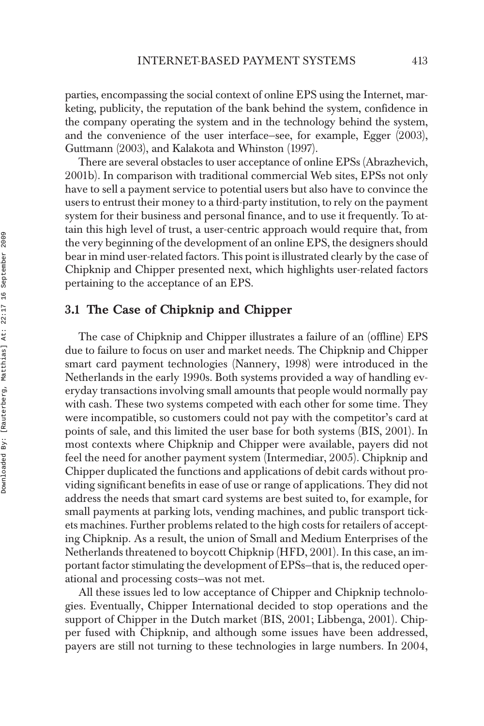parties, encompassing the social context of online EPS using the Internet, marketing, publicity, the reputation of the bank behind the system, confidence in the company operating the system and in the technology behind the system, and the convenience of the user interface—see, for example, Egger (2003), Guttmann (2003), and Kalakota and Whinston (1997).

There are several obstacles to user acceptance of online EPSs (Abrazhevich, 2001b). In comparison with traditional commercial Web sites, EPSs not only have to sell a payment service to potential users but also have to convince the users to entrust their money to a third-party institution, to rely on the payment system for their business and personal finance, and to use it frequently. To attain this high level of trust, a user-centric approach would require that, from the very beginning of the development of an online EPS, the designers should bear in mind user-related factors. This point is illustrated clearly by the case of Chipknip and Chipper presented next, which highlights user-related factors pertaining to the acceptance of an EPS.

## **3.1 The Case of Chipknip and Chipper**

The case of Chipknip and Chipper illustrates a failure of an (offline) EPS due to failure to focus on user and market needs. The Chipknip and Chipper smart card payment technologies (Nannery, 1998) were introduced in the Netherlands in the early 1990s. Both systems provided a way of handling everyday transactions involving small amounts that people would normally pay with cash. These two systems competed with each other for some time. They were incompatible, so customers could not pay with the competitor's card at points of sale, and this limited the user base for both systems (BIS, 2001). In most contexts where Chipknip and Chipper were available, payers did not feel the need for another payment system (Intermediar, 2005). Chipknip and Chipper duplicated the functions and applications of debit cards without providing significant benefits in ease of use or range of applications. They did not address the needs that smart card systems are best suited to, for example, for small payments at parking lots, vending machines, and public transport tickets machines. Further problems related to the high costs for retailers of accepting Chipknip. As a result, the union of Small and Medium Enterprises of the Netherlands threatened to boycott Chipknip (HFD, 2001). In this case, an important factor stimulating the development of EPSs—that is, the reduced operational and processing costs—was not met.

All these issues led to low acceptance of Chipper and Chipknip technologies. Eventually, Chipper International decided to stop operations and the support of Chipper in the Dutch market (BIS, 2001; Libbenga, 2001). Chipper fused with Chipknip, and although some issues have been addressed, payers are still not turning to these technologies in large numbers. In 2004,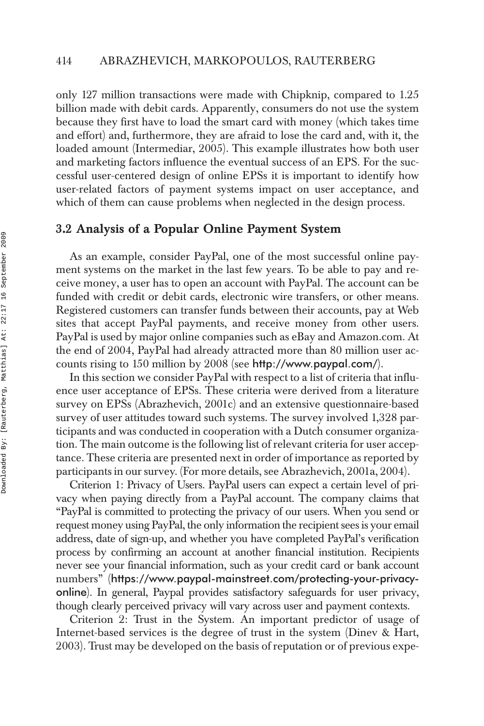only 127 million transactions were made with Chipknip, compared to 1.25 billion made with debit cards. Apparently, consumers do not use the system because they first have to load the smart card with money (which takes time and effort) and, furthermore, they are afraid to lose the card and, with it, the loaded amount (Intermediar, 2005). This example illustrates how both user and marketing factors influence the eventual success of an EPS. For the successful user-centered design of online EPSs it is important to identify how user-related factors of payment systems impact on user acceptance, and which of them can cause problems when neglected in the design process.

#### **3.2 Analysis of a Popular Online Payment System**

As an example, consider PayPal, one of the most successful online payment systems on the market in the last few years. To be able to pay and receive money, a user has to open an account with PayPal. The account can be funded with credit or debit cards, electronic wire transfers, or other means. Registered customers can transfer funds between their accounts, pay at Web sites that accept PayPal payments, and receive money from other users. PayPal is used by major online companies such as eBay and Amazon.com. At the end of 2004, PayPal had already attracted more than 80 million user accounts rising to 150 million by 2008 (see http://www.paypal.com/).

In this section we consider PayPal with respect to a list of criteria that influence user acceptance of EPSs. These criteria were derived from a literature survey on EPSs (Abrazhevich, 2001c) and an extensive questionnaire-based survey of user attitudes toward such systems. The survey involved 1,328 participants and was conducted in cooperation with a Dutch consumer organization. The main outcome is the following list of relevant criteria for user acceptance. These criteria are presented next in order of importance as reported by participants in our survey. (For more details, see Abrazhevich, 2001a, 2004).

Criterion 1: Privacy of Users. PayPal users can expect a certain level of privacy when paying directly from a PayPal account. The company claims that "PayPal is committed to protecting the privacy of our users. When you send or request money using PayPal, the only information the recipient sees is your email address, date of sign-up, and whether you have completed PayPal's verification process by confirming an account at another financial institution. Recipients never see your financial information, such as your credit card or bank account numbers" (https://www.paypal-mainstreet.com/protecting-your-privacyonline). In general, Paypal provides satisfactory safeguards for user privacy, though clearly perceived privacy will vary across user and payment contexts.

Criterion 2: Trust in the System. An important predictor of usage of Internet-based services is the degree of trust in the system (Dinev & Hart, 2003). Trust may be developed on the basis of reputation or of previous expe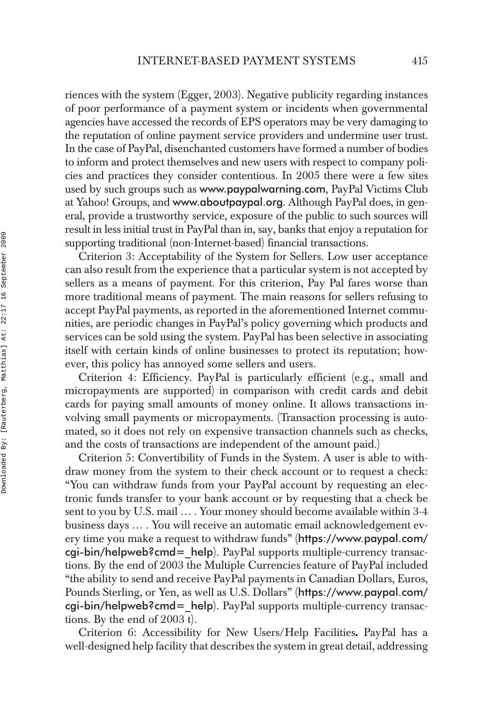riences with the system (Egger, 2003). Negative publicity regarding instances of poor performance of a payment system or incidents when governmental agencies have accessed the records of EPS operators may be very damaging to the reputation of online payment service providers and undermine user trust. In the case of PayPal, disenchanted customers have formed a number of bodies to inform and protect themselves and new users with respect to company policies and practices they consider contentious. In 2005 there were a few sites used by such groups such as www.paypalwarning.com, PayPal Victims Club at Yahoo! Groups, and www.aboutpaypal.org. Although PayPal does, in general, provide a trustworthy service, exposure of the public to such sources will result in less initial trust in PayPal than in, say, banks that enjoy a reputation for supporting traditional (non-Internet-based) financial transactions.

Criterion 3: Acceptability of the System for Sellers. Low user acceptance can also result from the experience that a particular system is not accepted by sellers as a means of payment. For this criterion, Pay Pal fares worse than more traditional means of payment. The main reasons for sellers refusing to accept PayPal payments, as reported in the aforementioned Internet communities, are periodic changes in PayPal's policy governing which products and services can be sold using the system. PayPal has been selective in associating itself with certain kinds of online businesses to protect its reputation; however, this policy has annoyed some sellers and users.

Criterion 4: Efficiency. PayPal is particularly efficient (e.g., small and micropayments are supported) in comparison with credit cards and debit cards for paying small amounts of money online. It allows transactions involving small payments or micropayments. (Transaction processing is automated, so it does not rely on expensive transaction channels such as checks, and the costs of transactions are independent of the amount paid.)

Criterion 5: Convertibility of Funds in the System. A user is able to withdraw money from the system to their check account or to request a check: "You can withdraw funds from your PayPal account by requesting an electronic funds transfer to your bank account or by requesting that a check be sent to you by U.S. mail … . Your money should become available within 3-4 business days … . You will receive an automatic email acknowledgement every time you make a request to withdraw funds" (https://www.paypal.com/ cgi-bin/helpweb?cmd=\_help). PayPal supports multiple-currency transactions. By the end of 2003 the Multiple Currencies feature of PayPal included "the ability to send and receive PayPal payments in Canadian Dollars, Euros, Pounds Sterling, or Yen, as well as U.S. Dollars" (https://www.paypal.com/ cgi-bin/helpweb?cmd=\_help). PayPal supports multiple-currency transactions. By the end of 2003 t).

Criterion 6: Accessibility for New Users/Help Facilities*.* PayPal has a well-designed help facility that describes the system in great detail, addressing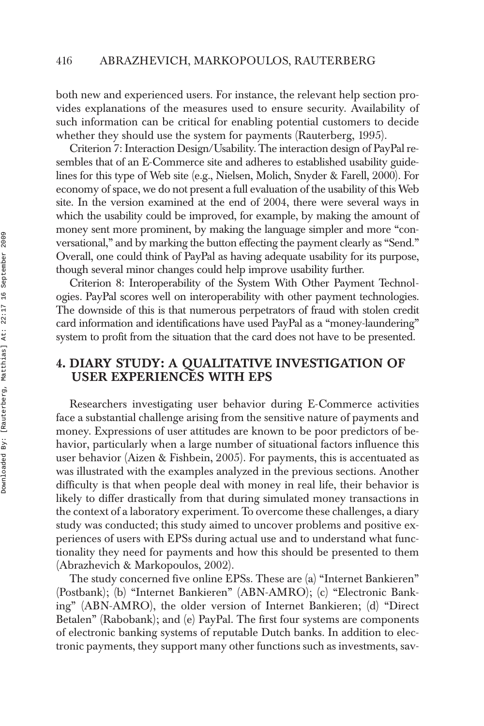#### 416 ABRAZHEVICH, MARKOPOULOS, RAUTERBERG

both new and experienced users. For instance, the relevant help section provides explanations of the measures used to ensure security. Availability of such information can be critical for enabling potential customers to decide whether they should use the system for payments (Rauterberg, 1995).

Criterion 7: Interaction Design/Usability. The interaction design of PayPal resembles that of an E-Commerce site and adheres to established usability guidelines for this type of Web site (e.g., Nielsen, Molich, Snyder & Farell, 2000). For economy of space, we do not present a full evaluation of the usability of this Web site. In the version examined at the end of 2004, there were several ways in which the usability could be improved, for example, by making the amount of money sent more prominent, by making the language simpler and more "conversational," and by marking the button effecting the payment clearly as "Send." Overall, one could think of PayPal as having adequate usability for its purpose, though several minor changes could help improve usability further.

Criterion 8: Interoperability of the System With Other Payment Technologies*.* PayPal scores well on interoperability with other payment technologies. The downside of this is that numerous perpetrators of fraud with stolen credit card information and identifications have used PayPal as a "money-laundering" system to profit from the situation that the card does not have to be presented.

## **4. DIARY STUDY: A QUALITATIVE INVESTIGATION OF USER EXPERIENCES WITH EPS**

Researchers investigating user behavior during E-Commerce activities face a substantial challenge arising from the sensitive nature of payments and money. Expressions of user attitudes are known to be poor predictors of behavior, particularly when a large number of situational factors influence this user behavior (Aizen & Fishbein, 2005). For payments, this is accentuated as was illustrated with the examples analyzed in the previous sections. Another difficulty is that when people deal with money in real life, their behavior is likely to differ drastically from that during simulated money transactions in the context of a laboratory experiment. To overcome these challenges, a diary study was conducted; this study aimed to uncover problems and positive experiences of users with EPSs during actual use and to understand what functionality they need for payments and how this should be presented to them (Abrazhevich & Markopoulos, 2002).

The study concerned five online EPSs. These are (a) "Internet Bankieren" (Postbank); (b) "Internet Bankieren" (ABN-AMRO); (c) "Electronic Banking" (ABN-AMRO), the older version of Internet Bankieren; (d) "Direct Betalen" (Rabobank); and (e) PayPal. The first four systems are components of electronic banking systems of reputable Dutch banks. In addition to electronic payments, they support many other functions such as investments, sav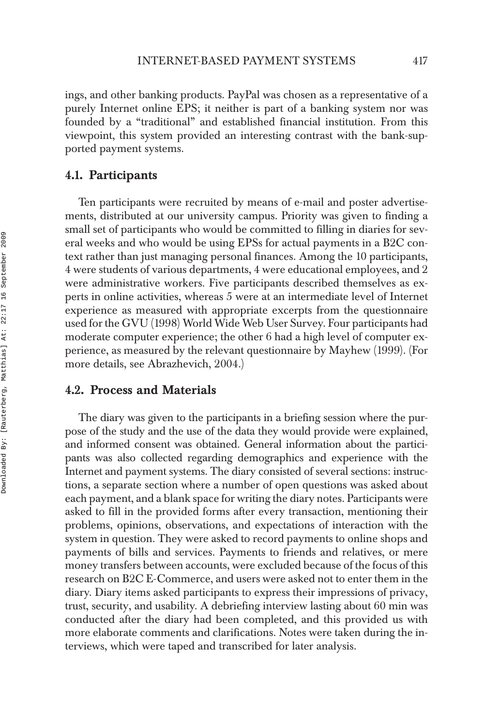ings, and other banking products. PayPal was chosen as a representative of a purely Internet online EPS; it neither is part of a banking system nor was founded by a "traditional" and established financial institution. From this viewpoint, this system provided an interesting contrast with the bank-supported payment systems.

## **4.1. Participants**

Ten participants were recruited by means of e-mail and poster advertisements, distributed at our university campus. Priority was given to finding a small set of participants who would be committed to filling in diaries for several weeks and who would be using EPSs for actual payments in a B2C context rather than just managing personal finances. Among the 10 participants, 4 were students of various departments, 4 were educational employees, and 2 were administrative workers. Five participants described themselves as experts in online activities, whereas 5 were at an intermediate level of Internet experience as measured with appropriate excerpts from the questionnaire used for the GVU (1998) World Wide Web User Survey. Four participants had moderate computer experience; the other 6 had a high level of computer experience, as measured by the relevant questionnaire by Mayhew (1999). (For more details, see Abrazhevich, 2004.)

## **4.2. Process and Materials**

The diary was given to the participants in a briefing session where the purpose of the study and the use of the data they would provide were explained, and informed consent was obtained. General information about the participants was also collected regarding demographics and experience with the Internet and payment systems. The diary consisted of several sections: instructions, a separate section where a number of open questions was asked about each payment, and a blank space for writing the diary notes. Participants were asked to fill in the provided forms after every transaction, mentioning their problems, opinions, observations, and expectations of interaction with the system in question. They were asked to record payments to online shops and payments of bills and services. Payments to friends and relatives, or mere money transfers between accounts, were excluded because of the focus of this research on B2C E-Commerce, and users were asked not to enter them in the diary. Diary items asked participants to express their impressions of privacy, trust, security, and usability. A debriefing interview lasting about 60 min was conducted after the diary had been completed, and this provided us with more elaborate comments and clarifications. Notes were taken during the interviews, which were taped and transcribed for later analysis.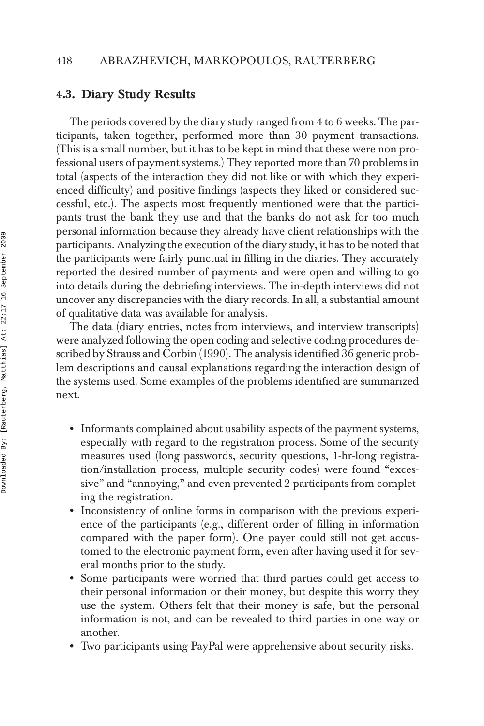#### 418 ABRAZHEVICH, MARKOPOULOS, RAUTERBERG

#### **4.3. Diary Study Results**

The periods covered by the diary study ranged from 4 to 6 weeks. The participants, taken together, performed more than 30 payment transactions. (This is a small number, but it has to be kept in mind that these were non professional users of payment systems.) They reported more than 70 problems in total (aspects of the interaction they did not like or with which they experienced difficulty) and positive findings (aspects they liked or considered successful, etc.). The aspects most frequently mentioned were that the participants trust the bank they use and that the banks do not ask for too much personal information because they already have client relationships with the participants. Analyzing the execution of the diary study, it has to be noted that the participants were fairly punctual in filling in the diaries. They accurately reported the desired number of payments and were open and willing to go into details during the debriefing interviews. The in-depth interviews did not uncover any discrepancies with the diary records. In all, a substantial amount of qualitative data was available for analysis.

The data (diary entries, notes from interviews, and interview transcripts) were analyzed following the open coding and selective coding procedures described by Strauss and Corbin (1990). The analysis identified 36 generic problem descriptions and causal explanations regarding the interaction design of the systems used. Some examples of the problems identified are summarized next.

- Informants complained about usability aspects of the payment systems, especially with regard to the registration process. Some of the security measures used (long passwords, security questions, 1-hr-long registration/installation process, multiple security codes) were found "excessive" and "annoying," and even prevented 2 participants from completing the registration.
- Inconsistency of online forms in comparison with the previous experience of the participants (e.g., different order of filling in information compared with the paper form). One payer could still not get accustomed to the electronic payment form, even after having used it for several months prior to the study.
- Some participants were worried that third parties could get access to their personal information or their money, but despite this worry they use the system. Others felt that their money is safe, but the personal information is not, and can be revealed to third parties in one way or another.
- Two participants using PayPal were apprehensive about security risks.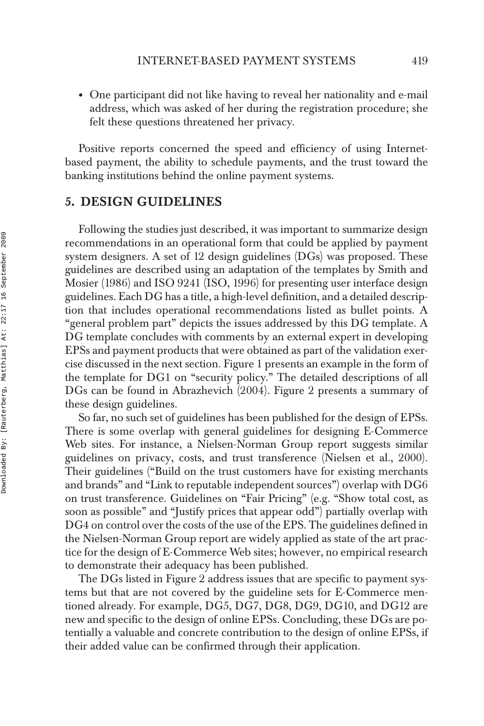• One participant did not like having to reveal her nationality and e-mail address, which was asked of her during the registration procedure; she felt these questions threatened her privacy.

Positive reports concerned the speed and efficiency of using Internetbased payment, the ability to schedule payments, and the trust toward the banking institutions behind the online payment systems.

## **5. DESIGN GUIDELINES**

Following the studies just described, it was important to summarize design recommendations in an operational form that could be applied by payment system designers. A set of 12 design guidelines (DGs) was proposed. These guidelines are described using an adaptation of the templates by Smith and Mosier (1986) and ISO 9241 (ISO, 1996) for presenting user interface design guidelines. Each DG has a title, a high-level definition, and a detailed description that includes operational recommendations listed as bullet points. A "general problem part" depicts the issues addressed by this DG template. A DG template concludes with comments by an external expert in developing EPSs and payment products that were obtained as part of the validation exercise discussed in the next section. Figure 1 presents an example in the form of the template for DG1 on "security policy." The detailed descriptions of all DGs can be found in Abrazhevich (2004). Figure 2 presents a summary of these design guidelines.

So far, no such set of guidelines has been published for the design of EPSs. There is some overlap with general guidelines for designing E-Commerce Web sites. For instance, a Nielsen-Norman Group report suggests similar guidelines on privacy, costs, and trust transference (Nielsen et al., 2000). Their guidelines ("Build on the trust customers have for existing merchants and brands" and "Link to reputable independent sources") overlap with DG6 on trust transference. Guidelines on "Fair Pricing" (e.g. "Show total cost, as soon as possible" and "Justify prices that appear odd") partially overlap with DG4 on control over the costs of the use of the EPS. The guidelines defined in the Nielsen-Norman Group report are widely applied as state of the art practice for the design of E-Commerce Web sites; however, no empirical research to demonstrate their adequacy has been published.

The DGs listed in Figure 2 address issues that are specific to payment systems but that are not covered by the guideline sets for E-Commerce mentioned already. For example, DG5, DG7, DG8, DG9, DG10, and DG12 are new and specific to the design of online EPSs. Concluding, these DGs are potentially a valuable and concrete contribution to the design of online EPSs, if their added value can be confirmed through their application.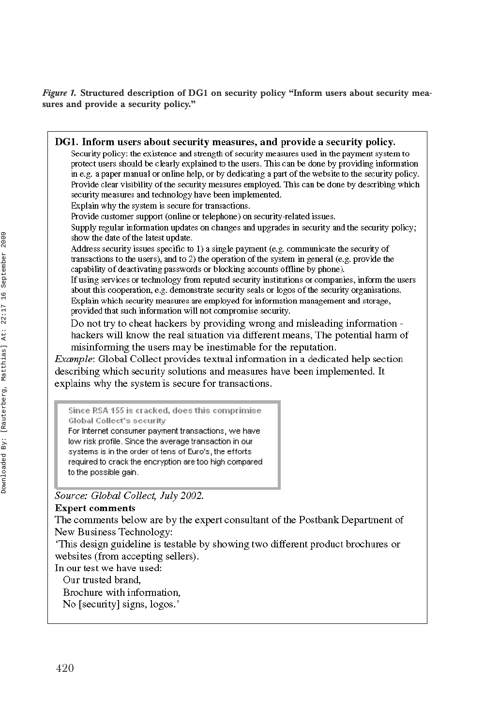*Figure 1***. Structured description of DG1 on security policy "Inform users about security measures and provide a security policy."**

DG1. Inform users about security measures, and provide a security policy. Security policy: the existence and strength of security measures used in the payment system to protect users should be clearly explained to the users. This can be done by providing information in e.g. a paper manual or online help, or by dedicating a part of the website to the security policy. Provide clear visibility of the security measures employed. This can be done by describing which security measures and technology have been implemented. Explain why the system is secure for transactions.

Provide customer support (online or telephone) on security-related issues.

Supply regular information updates on changes and upgrades in security and the security policy; show the date of the latest update.

Address security issues specific to  $1$ ) a single payment (e.g. communicate the security of transactions to the users), and to 2) the operation of the system in general (e.g. provide the capability of deactivating passwords or blocking accounts offline by phone).

If using services or technology from reputed security institutions or companies, inform the users about this cooperation, e.g. demonstrate security seals or logos of the security organisations. Explain which security measures are employed for information management and storage, provided that such information will not compromise security.

Do not try to cheat hackers by providing wrong and misleading information hackers will know the real situation via different means. The potential harm of misinforming the users may be inestimable for the reputation.

*Example:* Global Collect provides textual information in a dedicated help section describing which security solutions and measures have been implemented. It explains why the system is secure for transactions.

Since RSA 155 is cracked, does this comprimise Global Collect's security For Internet consumer payment transactions, we have low risk profile. Since the average transaction in our systems is in the order of tens of Euro's, the efforts required to crack the encryption are too high compared to the possible gain.

Source: Global Collect, July 2002.

## **Expert comments**

The comments below are by the expert consultant of the Postbank Department of New Business Technology:

This design guideline is testable by showing two different product brochures or websites (from accepting sellers).

In our test we have used:

Our trusted brand,

Brochure with information,

No [security] signs, logos.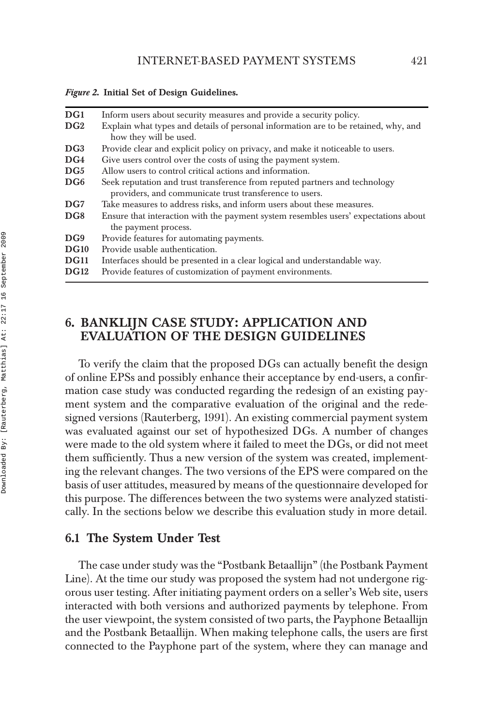*Figure 2***. Initial Set of Design Guidelines.**

| DG1             | Inform users about security measures and provide a security policy.                                           |
|-----------------|---------------------------------------------------------------------------------------------------------------|
| DG2             | Explain what types and details of personal information are to be retained, why, and<br>how they will be used. |
| DG <sub>3</sub> | Provide clear and explicit policy on privacy, and make it noticeable to users.                                |
| DG4             | Give users control over the costs of using the payment system.                                                |
|                 |                                                                                                               |
| DG5             | Allow users to control critical actions and information.                                                      |
| DG6             | Seek reputation and trust transference from reputed partners and technology                                   |
|                 | providers, and communicate trust transference to users.                                                       |
| DG7             | Take measures to address risks, and inform users about these measures.                                        |
| DG8             | Ensure that interaction with the payment system resembles users' expectations about                           |
|                 | the payment process.                                                                                          |
| DG9             | Provide features for automating payments.                                                                     |
| DG10            | Provide usable authentication.                                                                                |
| <b>DG11</b>     | Interfaces should be presented in a clear logical and understandable way.                                     |
| <b>DG12</b>     | Provide features of customization of payment environments.                                                    |
|                 |                                                                                                               |

# **6. BANKLIJN CASE STUDY: APPLICATION AND EVALUATION OF THE DESIGN GUIDELINES**

To verify the claim that the proposed DGs can actually benefit the design of online EPSs and possibly enhance their acceptance by end-users, a confirmation case study was conducted regarding the redesign of an existing payment system and the comparative evaluation of the original and the redesigned versions (Rauterberg, 1991). An existing commercial payment system was evaluated against our set of hypothesized DGs. A number of changes were made to the old system where it failed to meet the DGs, or did not meet them sufficiently. Thus a new version of the system was created, implementing the relevant changes. The two versions of the EPS were compared on the basis of user attitudes, measured by means of the questionnaire developed for this purpose. The differences between the two systems were analyzed statistically. In the sections below we describe this evaluation study in more detail.

# **6.1 The System Under Test**

The case under study was the "Postbank Betaallijn" (the Postbank Payment Line). At the time our study was proposed the system had not undergone rigorous user testing. After initiating payment orders on a seller's Web site, users interacted with both versions and authorized payments by telephone. From the user viewpoint, the system consisted of two parts, the Payphone Betaallijn and the Postbank Betaallijn. When making telephone calls, the users are first connected to the Payphone part of the system, where they can manage and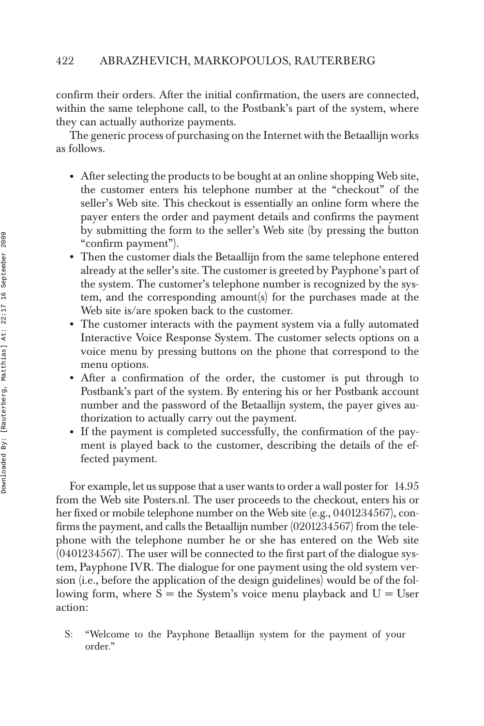confirm their orders. After the initial confirmation, the users are connected, within the same telephone call, to the Postbank's part of the system, where they can actually authorize payments.

The generic process of purchasing on the Internet with the Betaallijn works as follows.

- After selecting the products to be bought at an online shopping Web site, the customer enters his telephone number at the "checkout" of the seller's Web site. This checkout is essentially an online form where the payer enters the order and payment details and confirms the payment by submitting the form to the seller's Web site (by pressing the button "confirm payment").
- Then the customer dials the Betaallijn from the same telephone entered already at the seller's site. The customer is greeted by Payphone's part of the system. The customer's telephone number is recognized by the system, and the corresponding amount(s) for the purchases made at the Web site is/are spoken back to the customer.
- The customer interacts with the payment system via a fully automated Interactive Voice Response System. The customer selects options on a voice menu by pressing buttons on the phone that correspond to the menu options.
- After a confirmation of the order, the customer is put through to Postbank's part of the system. By entering his or her Postbank account number and the password of the Betaallijn system, the payer gives authorization to actually carry out the payment.
- If the payment is completed successfully, the confirmation of the payment is played back to the customer, describing the details of the effected payment.

For example, let us suppose that a user wants to order a wall poster for 14.95 from the Web site Posters.nl. The user proceeds to the checkout, enters his or her fixed or mobile telephone number on the Web site (e.g., 0401234567), confirms the payment, and calls the Betaallijn number (0201234567) from the telephone with the telephone number he or she has entered on the Web site (0401234567). The user will be connected to the first part of the dialogue system, Payphone IVR. The dialogue for one payment using the old system version (i.e., before the application of the design guidelines) would be of the following form, where  $S =$  the System's voice menu playback and  $U =$  User action:

S: "Welcome to the Payphone Betaallijn system for the payment of your order."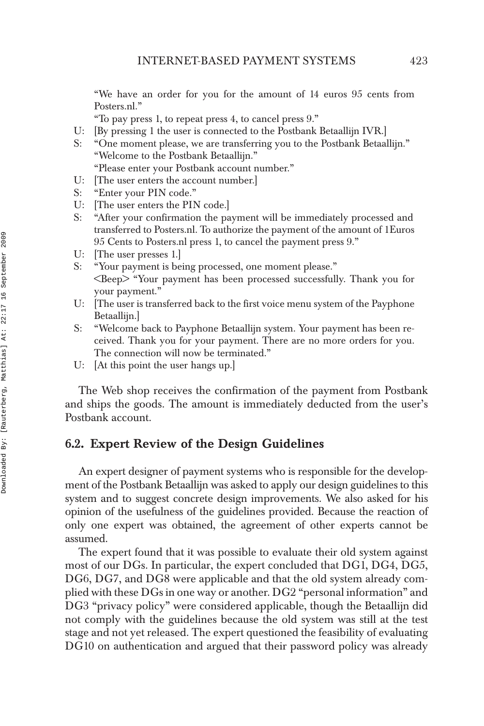"We have an order for you for the amount of 14 euros 95 cents from Posters.nl."

"To pay press 1, to repeat press 4, to cancel press 9."

- U: [By pressing 1 the user is connected to the Postbank Betaallijn IVR.]
- S: "One moment please, we are transferring you to the Postbank Betaallijn." "Welcome to the Postbank Betaallijn." "Please enter your Postbank account number."
- U: [The user enters the account number.]
- S: "Enter your PIN code."
- U: [The user enters the PIN code.]
- S: "After your confirmation the payment will be immediately processed and transferred to Posters.nl. To authorize the payment of the amount of 1Euros 95 Cents to Posters.nl press 1, to cancel the payment press 9."
- U: [The user presses 1.]
- S: "Your payment is being processed, one moment please." <Beep> "Your payment has been processed successfully. Thank you for your payment."
- U: [The user is transferred back to the first voice menu system of the Payphone Betaallijn.]
- S: "Welcome back to Payphone Betaallijn system. Your payment has been received. Thank you for your payment. There are no more orders for you. The connection will now be terminated."
- U: [At this point the user hangs up.]

The Web shop receives the confirmation of the payment from Postbank and ships the goods. The amount is immediately deducted from the user's Postbank account.

### **6.2. Expert Review of the Design Guidelines**

An expert designer of payment systems who is responsible for the development of the Postbank Betaallijn was asked to apply our design guidelines to this system and to suggest concrete design improvements. We also asked for his opinion of the usefulness of the guidelines provided. Because the reaction of only one expert was obtained, the agreement of other experts cannot be assumed.

The expert found that it was possible to evaluate their old system against most of our DGs. In particular, the expert concluded that DG1, DG4, DG5, DG6, DG7, and DG8 were applicable and that the old system already complied with these DGs in one way or another. DG2 "personal information" and DG3 "privacy policy" were considered applicable, though the Betaallijn did not comply with the guidelines because the old system was still at the test stage and not yet released. The expert questioned the feasibility of evaluating DG10 on authentication and argued that their password policy was already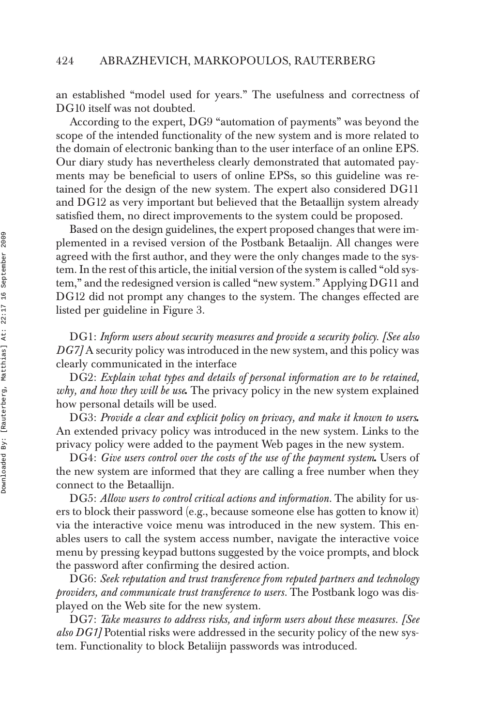an established "model used for years." The usefulness and correctness of DG10 itself was not doubted.

According to the expert, DG9 "automation of payments" was beyond the scope of the intended functionality of the new system and is more related to the domain of electronic banking than to the user interface of an online EPS. Our diary study has nevertheless clearly demonstrated that automated payments may be beneficial to users of online EPSs, so this guideline was retained for the design of the new system. The expert also considered DG11 and DG12 as very important but believed that the Betaallijn system already satisfied them, no direct improvements to the system could be proposed.

Based on the design guidelines, the expert proposed changes that were implemented in a revised version of the Postbank Betaalijn. All changes were agreed with the first author, and they were the only changes made to the system. In the rest of this article, the initial version of the system is called "old system," and the redesigned version is called "new system." Applying DG11 and DG12 did not prompt any changes to the system. The changes effected are listed per guideline in Figure 3.

DG1: *Inform users about security measures and provide a security policy. [See also DG7]* A security policy was introduced in the new system, and this policy was clearly communicated in the interface

DG2: *Explain what types and details of personal information are to be retained, why, and how they will be use.* The privacy policy in the new system explained how personal details will be used.

DG3: *Provide a clear and explicit policy on privacy, and make it known to users.* An extended privacy policy was introduced in the new system. Links to the privacy policy were added to the payment Web pages in the new system.

DG4: *Give users control over the costs of the use of the payment system.* Users of the new system are informed that they are calling a free number when they connect to the Betaallijn.

DG5: *Allow users to control critical actions and information.* The ability for users to block their password (e.g., because someone else has gotten to know it) via the interactive voice menu was introduced in the new system. This enables users to call the system access number, navigate the interactive voice menu by pressing keypad buttons suggested by the voice prompts, and block the password after confirming the desired action.

DG6: *Seek reputation and trust transference from reputed partners and technology providers, and communicate trust transference to users.* The Postbank logo was displayed on the Web site for the new system.

DG7: *Take measures to address risks, and inform users about these measures. [See also DG1]* Potential risks were addressed in the security policy of the new system. Functionality to block Betaliijn passwords was introduced.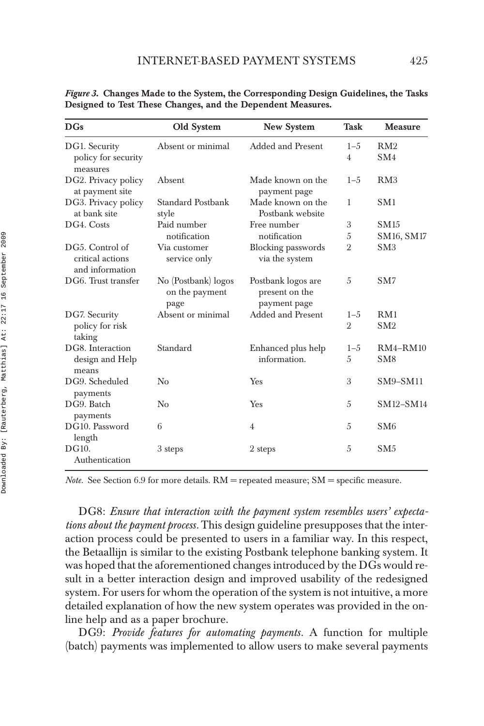| <b>DGs</b>                                             | Old System                                    | <b>New System</b>                                    | Task                                   | <b>Measure</b>                     |
|--------------------------------------------------------|-----------------------------------------------|------------------------------------------------------|----------------------------------------|------------------------------------|
| DG1. Security<br>policy for security                   | Absent or minimal                             | Added and Present                                    | $1 - 5$<br>$\overline{4}$              | RM2<br>SM4                         |
| measures<br>DG2. Privacy policy<br>at payment site     | Absent                                        | Made known on the<br>payment page                    | $1 - 5$                                | RM3                                |
| DG3. Privacy policy<br>at bank site                    | Standard Postbank<br>style                    | Made known on the<br>Postbank website                | 1                                      | SM1                                |
| DG4. Costs                                             | Paid number<br>notification                   | Free number<br>notification                          | 3<br>5                                 | SM15<br>SM16, SM17                 |
| DG5. Control of<br>critical actions<br>and information | Via customer<br>service only                  | <b>Blocking passwords</b><br>via the system          | $\overline{2}$                         | SM <sub>3</sub>                    |
| DG6. Trust transfer                                    | No (Postbank) logos<br>on the payment<br>page | Postbank logos are<br>present on the<br>payment page | 5                                      | SM7                                |
| DG7. Security<br>policy for risk<br>taking             | Absent or minimal                             | Added and Present                                    | $1 - 5$<br>$\mathcal{D}_{\mathcal{L}}$ | RM1<br>SM2                         |
| DG8. Interaction<br>design and Help<br>means           | Standard                                      | Enhanced plus help<br>information.                   | $1 - 5$<br>5                           | <b>RM4-RM10</b><br>SM <sub>8</sub> |
| DG9. Scheduled<br>payments                             | No                                            | Yes                                                  | 3                                      | $SM9-SM11$                         |
| DG9. Batch<br>payments                                 | No                                            | Yes                                                  | 5                                      | SM12-SM14                          |
| DG10. Password<br>length                               | 6                                             | $\overline{4}$                                       | 5                                      | SM <sub>6</sub>                    |
| DG10.<br>Authentication                                | 3 steps                                       | 2 steps                                              | 5                                      | SM <sub>5</sub>                    |

*Figure 3***. Changes Made to the System, the Corresponding Design Guidelines, the Tasks Designed to Test These Changes, and the Dependent Measures.**

*Note.* See Section 6.9 for more details.  $RM$  = repeated measure;  $SM$  = specific measure.

DG8: *Ensure that interaction with the payment system resembles users' expectations about the payment process.* This design guideline presupposes that the interaction process could be presented to users in a familiar way. In this respect, the Betaallijn is similar to the existing Postbank telephone banking system. It was hoped that the aforementioned changes introduced by the DGs would result in a better interaction design and improved usability of the redesigned system. For users for whom the operation of the system is not intuitive, a more detailed explanation of how the new system operates was provided in the online help and as a paper brochure.

DG9: *Provide features for automating payments.* A function for multiple (batch) payments was implemented to allow users to make several payments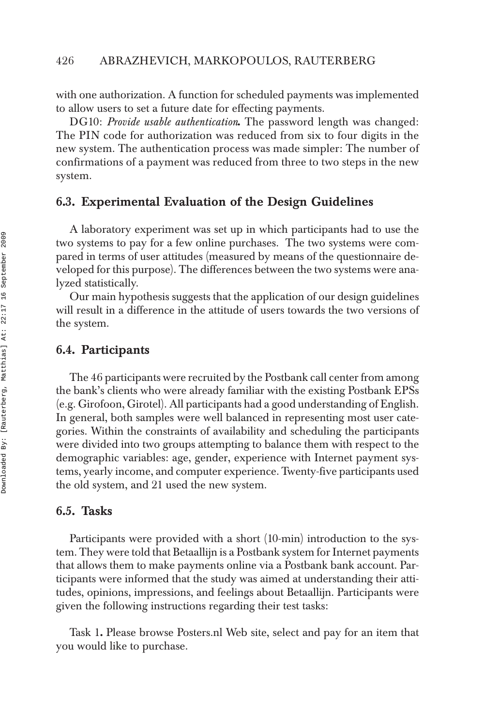#### 426 ABRAZHEVICH, MARKOPOULOS, RAUTERBERG

with one authorization. A function for scheduled payments was implemented to allow users to set a future date for effecting payments.

DG10: *Provide usable authentication.* The password length was changed: The PIN code for authorization was reduced from six to four digits in the new system. The authentication process was made simpler: The number of confirmations of a payment was reduced from three to two steps in the new system.

## **6.3. Experimental Evaluation of the Design Guidelines**

A laboratory experiment was set up in which participants had to use the two systems to pay for a few online purchases. The two systems were compared in terms of user attitudes (measured by means of the questionnaire developed for this purpose). The differences between the two systems were analyzed statistically.

Our main hypothesis suggests that the application of our design guidelines will result in a difference in the attitude of users towards the two versions of the system.

#### **6.4. Participants**

The 46 participants were recruited by the Postbank call center from among the bank's clients who were already familiar with the existing Postbank EPSs (e.g. Girofoon, Girotel). All participants had a good understanding of English. In general, both samples were well balanced in representing most user categories. Within the constraints of availability and scheduling the participants were divided into two groups attempting to balance them with respect to the demographic variables: age, gender, experience with Internet payment systems, yearly income, and computer experience. Twenty-five participants used the old system, and 21 used the new system.

#### **6.5. Tasks**

Participants were provided with a short (10-min) introduction to the system. They were told that Betaallijn is a Postbank system for Internet payments that allows them to make payments online via a Postbank bank account. Participants were informed that the study was aimed at understanding their attitudes, opinions, impressions, and feelings about Betaallijn. Participants were given the following instructions regarding their test tasks:

Task 1**.** Please browse Posters.nl Web site, select and pay for an item that you would like to purchase.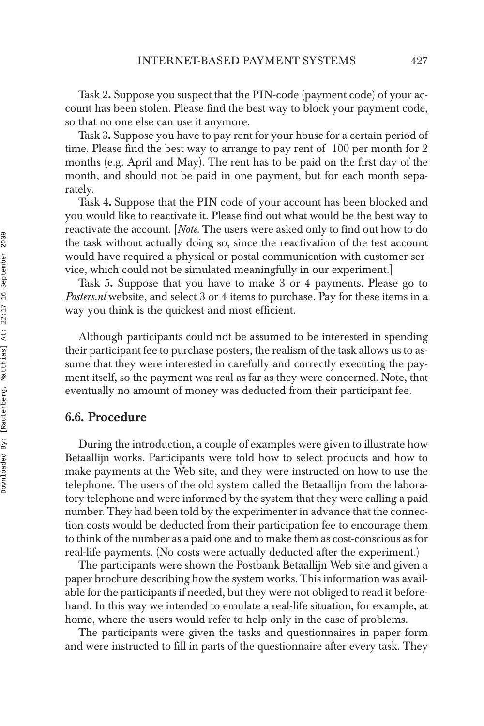Task 2**.** Suppose you suspect that the PIN-code (payment code) of your account has been stolen. Please find the best way to block your payment code, so that no one else can use it anymore.

Task 3**.** Suppose you have to pay rent for your house for a certain period of time. Please find the best way to arrange to pay rent of 100 per month for 2 months (e.g. April and May). The rent has to be paid on the first day of the month, and should not be paid in one payment, but for each month separately.

Task 4**.** Suppose that the PIN code of your account has been blocked and you would like to reactivate it. Please find out what would be the best way to reactivate the account. [*Note*. The users were asked only to find out how to do the task without actually doing so, since the reactivation of the test account would have required a physical or postal communication with customer service, which could not be simulated meaningfully in our experiment.]

Task 5**.** Suppose that you have to make 3 or 4 payments. Please go to *Posters.nl* website, and select 3 or 4 items to purchase. Pay for these items in a way you think is the quickest and most efficient.

Although participants could not be assumed to be interested in spending their participant fee to purchase posters, the realism of the task allows us to assume that they were interested in carefully and correctly executing the payment itself, so the payment was real as far as they were concerned. Note, that eventually no amount of money was deducted from their participant fee.

## **6.6. Procedure**

During the introduction, a couple of examples were given to illustrate how Betaallijn works. Participants were told how to select products and how to make payments at the Web site, and they were instructed on how to use the telephone. The users of the old system called the Betaallijn from the laboratory telephone and were informed by the system that they were calling a paid number. They had been told by the experimenter in advance that the connection costs would be deducted from their participation fee to encourage them to think of the number as a paid one and to make them as cost-conscious as for real-life payments. (No costs were actually deducted after the experiment.)

The participants were shown the Postbank Betaallijn Web site and given a paper brochure describing how the system works. This information was available for the participants if needed, but they were not obliged to read it beforehand. In this way we intended to emulate a real-life situation, for example, at home, where the users would refer to help only in the case of problems.

The participants were given the tasks and questionnaires in paper form and were instructed to fill in parts of the questionnaire after every task. They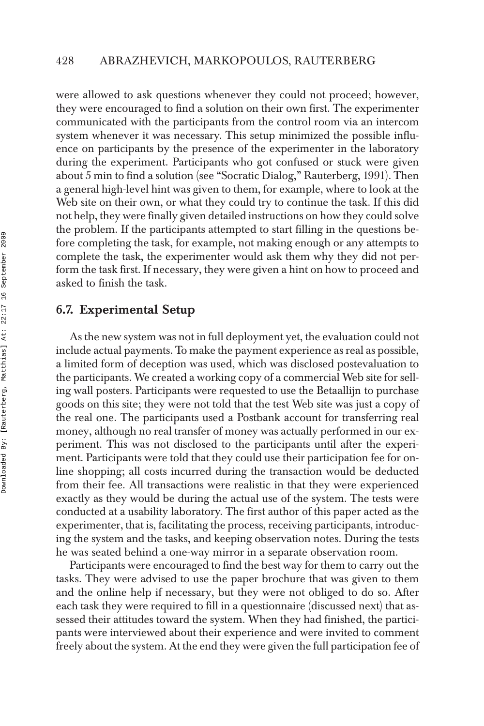were allowed to ask questions whenever they could not proceed; however, they were encouraged to find a solution on their own first. The experimenter communicated with the participants from the control room via an intercom system whenever it was necessary. This setup minimized the possible influence on participants by the presence of the experimenter in the laboratory during the experiment. Participants who got confused or stuck were given about 5 min to find a solution (see "Socratic Dialog," Rauterberg, 1991). Then a general high-level hint was given to them, for example, where to look at the Web site on their own, or what they could try to continue the task. If this did not help, they were finally given detailed instructions on how they could solve the problem. If the participants attempted to start filling in the questions before completing the task, for example, not making enough or any attempts to complete the task, the experimenter would ask them why they did not perform the task first. If necessary, they were given a hint on how to proceed and asked to finish the task.

#### **6.7. Experimental Setup**

As the new system was not in full deployment yet, the evaluation could not include actual payments. To make the payment experience as real as possible, a limited form of deception was used, which was disclosed postevaluation to the participants. We created a working copy of a commercial Web site for selling wall posters. Participants were requested to use the Betaallijn to purchase goods on this site; they were not told that the test Web site was just a copy of the real one. The participants used a Postbank account for transferring real money, although no real transfer of money was actually performed in our experiment. This was not disclosed to the participants until after the experiment. Participants were told that they could use their participation fee for online shopping; all costs incurred during the transaction would be deducted from their fee. All transactions were realistic in that they were experienced exactly as they would be during the actual use of the system. The tests were conducted at a usability laboratory. The first author of this paper acted as the experimenter, that is, facilitating the process, receiving participants, introducing the system and the tasks, and keeping observation notes. During the tests he was seated behind a one-way mirror in a separate observation room.

Participants were encouraged to find the best way for them to carry out the tasks. They were advised to use the paper brochure that was given to them and the online help if necessary, but they were not obliged to do so. After each task they were required to fill in a questionnaire (discussed next) that assessed their attitudes toward the system. When they had finished, the participants were interviewed about their experience and were invited to comment freely about the system. At the end they were given the full participation fee of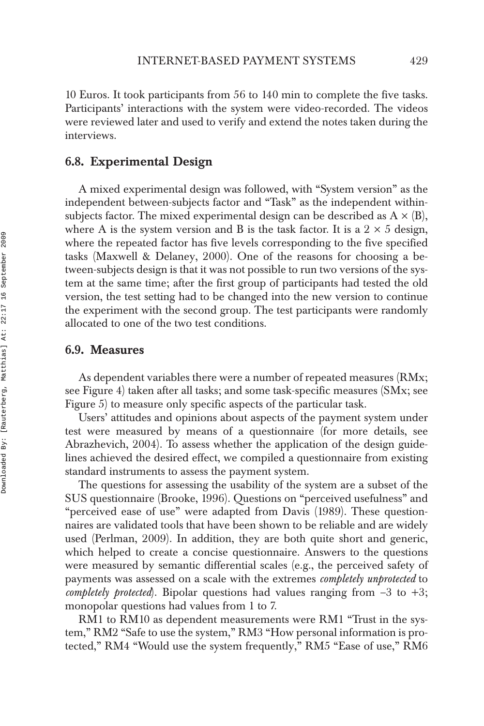10 Euros. It took participants from 56 to 140 min to complete the five tasks. Participants' interactions with the system were video-recorded. The videos were reviewed later and used to verify and extend the notes taken during the interviews.

## **6.8. Experimental Design**

A mixed experimental design was followed, with "System version" as the independent between-subjects factor and "Task" as the independent withinsubjects factor. The mixed experimental design can be described as  $A \times (B)$ , where A is the system version and B is the task factor. It is a  $2 \times 5$  design, where the repeated factor has five levels corresponding to the five specified tasks (Maxwell & Delaney, 2000). One of the reasons for choosing a between-subjects design is that it was not possible to run two versions of the system at the same time; after the first group of participants had tested the old version, the test setting had to be changed into the new version to continue the experiment with the second group. The test participants were randomly allocated to one of the two test conditions.

#### **6.9. Measures**

As dependent variables there were a number of repeated measures (RMx; see Figure 4) taken after all tasks; and some task-specific measures (SMx; see Figure 5) to measure only specific aspects of the particular task.

Users' attitudes and opinions about aspects of the payment system under test were measured by means of a questionnaire (for more details, see Abrazhevich, 2004). To assess whether the application of the design guidelines achieved the desired effect, we compiled a questionnaire from existing standard instruments to assess the payment system.

The questions for assessing the usability of the system are a subset of the SUS questionnaire (Brooke, 1996). Questions on "perceived usefulness" and "perceived ease of use" were adapted from Davis (1989). These questionnaires are validated tools that have been shown to be reliable and are widely used (Perlman, 2009). In addition, they are both quite short and generic, which helped to create a concise questionnaire. Answers to the questions were measured by semantic differential scales (e.g., the perceived safety of payments was assessed on a scale with the extremes *completely unprotected* to *completely protected*). Bipolar questions had values ranging from  $-3$  to  $+3$ ; monopolar questions had values from 1 to 7.

RM1 to RM10 as dependent measurements were RM1 "Trust in the system," RM2 "Safe to use the system," RM3 "How personal information is protected," RM4 "Would use the system frequently," RM5 "Ease of use," RM6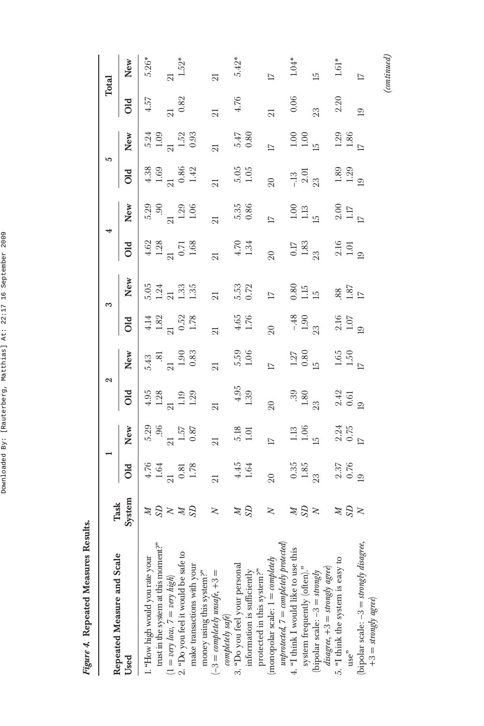| ζ<br>ċ<br>¢<br>ì<br>¢                |
|--------------------------------------|
| I<br>١<br>ł<br>I<br>I<br>1           |
| X<br>1                               |
| ţ<br>í<br>ı<br>¢<br>ı                |
| ï<br>ı<br>Í<br>I<br>ı                |
| 5<br>J<br>٢<br>ł<br>i<br>Į<br>٢      |
| ١<br>I<br>I<br>i<br>Ï<br>Ó<br>ſ<br>ı |
| j<br>l<br>ì<br>I                     |
| 5<br>ī<br>ļ<br>ï<br>ļ<br>I<br>I      |

Figure 4. Repeated Measures Results. *Figure 4***. Repeated Measures Results.**

| Repeated Measure and Scale                                                                                                                                         | $\operatorname*{Task}% \left( X\right) \equiv\operatorname*{Rank}\left( X\right) ,$ |                                                                   |                                                           |                                                   |                                                          |                                                                   |                                                         |                                                                   |                                                                 |                                                                   |                                                          |                 | Total                  |
|--------------------------------------------------------------------------------------------------------------------------------------------------------------------|-------------------------------------------------------------------------------------|-------------------------------------------------------------------|-----------------------------------------------------------|---------------------------------------------------|----------------------------------------------------------|-------------------------------------------------------------------|---------------------------------------------------------|-------------------------------------------------------------------|-----------------------------------------------------------------|-------------------------------------------------------------------|----------------------------------------------------------|-----------------|------------------------|
| Used                                                                                                                                                               | <b>System</b>                                                                       | <b>Old</b>                                                        | New                                                       | $\overline{d}$                                    | New                                                      | <b>DIO</b>                                                        | New                                                     | $\overline{O}$                                                    | New                                                             | <b>DIO</b>                                                        | New                                                      | <b>Old</b>      | New                    |
| 1. "How high would you rate your<br>tust in the system at this moment?"<br>(1 = <i>very low</i> , $7 = v$ <i>ery high</i> )<br>2. "Do you feel it would be safe to |                                                                                     |                                                                   |                                                           |                                                   |                                                          |                                                                   |                                                         |                                                                   |                                                                 |                                                                   |                                                          | 4.57            |                        |
|                                                                                                                                                                    |                                                                                     | $\begin{array}{c} 4.76 \\ 1.64 \\ 21 \\ 0.81 \\ 1.78 \end{array}$ | $\begin{array}{c} 5.29 \\ 96 \\ 1.57 \\ 0.87 \end{array}$ | $\frac{4.95}{1.28}$                               | $5.43$<br>$-31$<br>$-1.90$<br>$-1.83$                    |                                                                   | $\frac{5.05}{21}$<br>$\frac{24}{21}$<br>$\frac{33}{21}$ | $\begin{array}{c} 4.62 \\ 1.28 \\ 21 \\ 0.71 \\ 1.68 \end{array}$ | $\begin{array}{c} 5.29 \\ 90 \\ 21 \\ 1.29 \\ 1.06 \end{array}$ | $\begin{array}{c} 4.38 \\ 1.69 \\ 21 \\ 0.86 \\ 1.42 \end{array}$ | $\frac{5.24}{21}$<br>1.52<br>1.52<br>1.53                |                 | $5.26*$<br>21<br>1.52* |
|                                                                                                                                                                    |                                                                                     |                                                                   |                                                           |                                                   |                                                          |                                                                   |                                                         |                                                                   |                                                                 |                                                                   |                                                          |                 |                        |
|                                                                                                                                                                    |                                                                                     |                                                                   |                                                           | 1.19<br>1.29                                      |                                                          |                                                                   |                                                         |                                                                   |                                                                 |                                                                   |                                                          | $\rm 0.82$      |                        |
| make transactions with your                                                                                                                                        | $\begin{aligned} \Xi \cong \Xi \cong \Xi \end{aligned}$                             |                                                                   |                                                           |                                                   |                                                          | $\begin{array}{c} 4.14 \\ 1.82 \\ 21 \\ 0.52 \\ 1.78 \end{array}$ |                                                         |                                                                   |                                                                 |                                                                   |                                                          |                 |                        |
| money using this system?"<br>$(-3 = completely\;u xaf \epsilon, +3 =$<br>completely safe)                                                                          | $\geq$                                                                              |                                                                   | $\overline{\mathbb{Z}}$                                   |                                                   | $\overline{21}$                                          | <b>21</b>                                                         | $\overline{21}$                                         | $\overline{21}$                                                   | $\frac{1}{2}$                                                   | $\overline{21}$                                                   | $\overline{21}$                                          | $\overline{21}$ | $\overline{21}$        |
| 3. "Do you feel your personal                                                                                                                                      |                                                                                     |                                                                   |                                                           |                                                   |                                                          |                                                                   |                                                         |                                                                   |                                                                 |                                                                   |                                                          | $4.76$          | $5.42*$                |
|                                                                                                                                                                    | $\lesssim$ $\lesssim$                                                               | $4.45\phantom{00}1.64$                                            | $\frac{5.18}{1.01}$                                       | $4.95$<br>1.39                                    | $5.59$<br>1.06                                           | $4.65\phantom{}$ 1.76                                             | 5.53<br>0.72                                            | $4.70$<br>1.34                                                    | $5.35\phantom{}0.86$                                            | $5.05$<br>$1.05$                                                  | $5.47$<br>0.80                                           |                 |                        |
| information is sufficiently<br>protected in this system?" $\hspace{0.01em}$                                                                                        |                                                                                     |                                                                   |                                                           |                                                   |                                                          |                                                                   |                                                         |                                                                   |                                                                 |                                                                   |                                                          |                 |                        |
| $(monopolar scale: 1 = completeby$                                                                                                                                 | $\geq$                                                                              | $\overline{20}$                                                   | Ź                                                         | $\overline{6}$                                    | $\overline{a}$                                           | $\overline{20}$                                                   | $\overline{\square}$                                    | $\overline{20}$                                                   | $\overline{a}$                                                  |                                                                   | $\overline{C}$                                           | $\overline{21}$ |                        |
|                                                                                                                                                                    |                                                                                     |                                                                   |                                                           |                                                   |                                                          |                                                                   |                                                         |                                                                   |                                                                 |                                                                   |                                                          |                 |                        |
| $unprotected, 7 = completely protected, 4.$ "I think I would like to use this                                                                                      |                                                                                     |                                                                   |                                                           |                                                   |                                                          |                                                                   |                                                         |                                                                   |                                                                 |                                                                   |                                                          | 0.06            | $1.04*$                |
|                                                                                                                                                                    |                                                                                     |                                                                   | $\begin{array}{c} 1.13 \\ 1.06 \\ 1.5 \end{array}$        |                                                   |                                                          |                                                                   |                                                         |                                                                   |                                                                 |                                                                   | $\begin{array}{c} 1.00 \\ 1.00 \\ 1.5 \end{array}$       |                 |                        |
| system frequently (often)."<br>(bipolar scale: $-3 = \text{strongly}$                                                                                              | $\approx$ $\approx$                                                                 | $\begin{array}{c} 0.35 \\ 1.85 \\ 23 \end{array}$                 |                                                           | $\begin{array}{c} .39 \\ 1.80 \\ 2.3 \end{array}$ | $\frac{1.27}{0.80}$                                      | $-48$<br>1.90<br>23                                               | $\frac{0.80}{1.15}$                                     | $\begin{array}{c} 0.17 \\ 1.83 \\ 23 \end{array}$                 | $\begin{array}{c} 1.00 \\ 1.13 \\ 15 \end{array}$               | $-13$<br>$-2.01$<br>$23$                                          |                                                          | 23              |                        |
| $disagree, +3 = strongly agree$                                                                                                                                    |                                                                                     |                                                                   |                                                           |                                                   |                                                          |                                                                   |                                                         |                                                                   |                                                                 |                                                                   |                                                          |                 |                        |
| $5. \;$ "I think the system is easy to                                                                                                                             |                                                                                     |                                                                   |                                                           |                                                   |                                                          |                                                                   |                                                         |                                                                   |                                                                 |                                                                   |                                                          | 2.20            | $1.61*$                |
| use"                                                                                                                                                               | $\approx$ $\approx$                                                                 | $\frac{2.37}{0.76}$                                               | $\frac{2.24}{0.75}$                                       | $\begin{array}{c} 2.42 \\ 0.61 \end{array}$       | $\begin{array}{c} 1.65 \\ 1.50 \\ \hline 17 \end{array}$ | $\begin{array}{c} 2.16 \\ 1.07 \end{array}$                       | $\frac{5}{8}$ $\frac{1}{8}$                             | $\begin{array}{c} 2.16 \\ 1.01 \\ 19 \end{array}$                 | $\begin{array}{c} 2.00 \\ 1.17 \\ \hline 17 \end{array}$        | $\frac{1.89}{1.29}$                                               | $\begin{array}{c} 1.29 \\ 1.86 \\ \hline 17 \end{array}$ |                 |                        |
| (bipolar scale: $-3 =$ strongly disagree,                                                                                                                          |                                                                                     |                                                                   |                                                           |                                                   |                                                          |                                                                   |                                                         |                                                                   |                                                                 |                                                                   |                                                          | $\overline{9}$  |                        |
| $+3 =$ strongly agree)                                                                                                                                             |                                                                                     |                                                                   |                                                           |                                                   |                                                          |                                                                   |                                                         |                                                                   |                                                                 |                                                                   |                                                          |                 |                        |

*(continued)*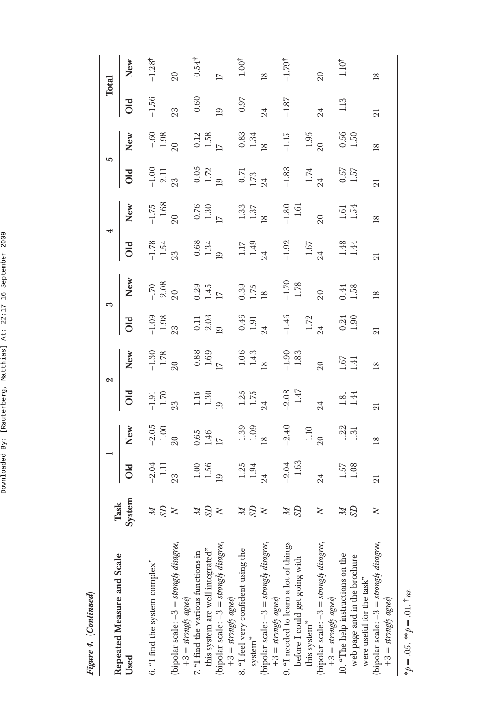Figure 4. (Continued) *Figure 4***. (***Continued***)**

|                                                                                                                           |                               |                                             |                                             |                         |                                                          |                                                   |                     |                                                    |                                                          |                                             |                                                   |                         | Total             |
|---------------------------------------------------------------------------------------------------------------------------|-------------------------------|---------------------------------------------|---------------------------------------------|-------------------------|----------------------------------------------------------|---------------------------------------------------|---------------------|----------------------------------------------------|----------------------------------------------------------|---------------------------------------------|---------------------------------------------------|-------------------------|-------------------|
| Repeated Measure and Scale<br>Used                                                                                        | Task<br>System                | JiO                                         | New                                         | $\overline{5}$          | New                                                      | БIО                                               | New                 | $\overline{\texttt{old}}$                          | New                                                      | ਰ<br>ਹ                                      | New                                               | ਰ<br>ਹ                  | New               |
| 6. "I find the system complex"                                                                                            |                               | $\frac{2.04}{1.1}$                          | 2.05                                        | $\overline{5}$          | $\begin{array}{c} 1.30 \\ 1.78 \\ 20 \end{array}$        | $\frac{1.09}{1.98}$                               |                     | $\begin{array}{c} 1.78 \\ 1.54 \\ 23 \end{array}$  | 1.75                                                     | 1.00                                        | $-.60$                                            | $-1.56$                 | $1.28^{+}$        |
|                                                                                                                           |                               |                                             | 1.0(                                        |                         |                                                          |                                                   | 2.08                |                                                    | 1.68                                                     | 2.1                                         | 1.98                                              |                         |                   |
| (bipolar scale: $-3 = \textit{strongly}$ disagree,<br>$+3 =$ strongly agree)                                              | $\approx 5 \times$            |                                             |                                             | $1.70$ $2.3$            |                                                          |                                                   |                     |                                                    | $\overline{20}$                                          | 23                                          |                                                   | 23                      |                   |
|                                                                                                                           |                               |                                             |                                             |                         |                                                          |                                                   |                     |                                                    |                                                          |                                             |                                                   | 0.60                    | $0.54$            |
|                                                                                                                           | $\approx$ $\approx$ $\approx$ | $\frac{1.00}{1.56}$                         | $0.65$<br>1.46<br>17                        | $\frac{1.16}{1.30}$     | $\begin{array}{c} 0.88 \\ 1.69 \\ \hline 17 \end{array}$ | $\begin{array}{c} 0.11 \\ 2.03 \\ 19 \end{array}$ | $\frac{0.29}{1.45}$ | $\begin{array}{c} 0.68 \\ 1.34 \\ 19 \end{array}$  | $\begin{array}{c} 0.76 \\ 1.30 \\ \hline 17 \end{array}$ | $\frac{0.05}{1.72}$                         | $\begin{array}{c} 0.12 \\ 1.58 \\ 17 \end{array}$ |                         |                   |
| 7. "I find the various functions in<br>this system are well integrated"<br>(bipolar scale: $-3 = \text{strongly diagram}$ |                               |                                             |                                             |                         |                                                          |                                                   |                     |                                                    |                                                          |                                             |                                                   | $\overline{9}$          |                   |
| $+3 =$ strongly agree)                                                                                                    |                               |                                             |                                             |                         |                                                          |                                                   |                     |                                                    |                                                          |                                             |                                                   |                         |                   |
| 8. "I feel very confident using the                                                                                       |                               | $\begin{array}{c} 1.25 \\ 1.94 \end{array}$ | $\begin{array}{c} 1.39 \\ 1.09 \end{array}$ |                         |                                                          | $\begin{array}{c} 0.46 \\ 1.91 \\ 24 \end{array}$ |                     | $\begin{array}{c} 1.17 \\ 1.49 \\ 2.4 \end{array}$ |                                                          |                                             | $\frac{0.83}{1.34}$                               | 0.97                    | $1.00^{\dagger}$  |
| system"                                                                                                                   | $\approx \Xi \approx$         |                                             |                                             | $1.75\phantom{0}$       | 1.43                                                     |                                                   | $\frac{33}{1.75}$   |                                                    | $\frac{1.33}{1.37}$                                      | $\begin{array}{c} 0.71 \\ 1.73 \end{array}$ |                                                   |                         |                   |
| $(bipolar scale: -3 = strongly \, diagonals$                                                                              |                               |                                             | $\frac{18}{2}$                              | $_{24}$                 | $\frac{8}{2}$                                            |                                                   |                     |                                                    | $\frac{18}{2}$                                           |                                             | $\frac{8}{2}$                                     | 24                      | $\infty$          |
| $+3 =$ strongly agree)                                                                                                    |                               |                                             |                                             |                         |                                                          |                                                   |                     |                                                    |                                                          |                                             |                                                   |                         |                   |
| 9. "I needed to learn a lot of things                                                                                     |                               |                                             | $-2.40$                                     |                         | $-1.90$<br>$1.83$                                        | $-1.46$                                           |                     | $-1.92$                                            |                                                          | $-1.83$                                     | $-1.15$                                           | $-1.87$                 | $-1.79^{\dagger}$ |
| before I could get going with                                                                                             | $\mathbb Z$ $\mathbb Z$       | $-2.04$<br>1.63                             |                                             | $-2.08$<br>1.47         |                                                          |                                                   | $-1.78$             |                                                    | $-1.80$<br>1.61                                          |                                             |                                                   |                         |                   |
| this system"                                                                                                              |                               |                                             | 1.10                                        |                         |                                                          |                                                   |                     |                                                    |                                                          |                                             |                                                   |                         |                   |
| $\lim_{z \to z}$<br>(bipolar scale: -3 = strongly disagree,                                                               | $\geq$                        |                                             | $\overline{0}$                              |                         | $\overline{20}$                                          | $\frac{1.72}{24}$                                 |                     | $\frac{1.67}{24}$                                  | $\overline{20}$                                          | $\frac{1.74}{24}$                           | $\frac{1.95}{20}$                                 | 24                      |                   |
| $+3 =$ strongly agree)                                                                                                    |                               |                                             |                                             |                         |                                                          |                                                   |                     |                                                    |                                                          |                                             |                                                   |                         |                   |
| 10. "The help instructions on the                                                                                         |                               |                                             |                                             |                         | 1.67                                                     |                                                   |                     |                                                    |                                                          |                                             |                                                   | 1.13                    |                   |
| web page and in the brochure<br>were useful for the task"                                                                 | $Z \ncong$                    | $1.57$<br>1.08                              | 1.31                                        | $\frac{1.81}{1.44}$     | 1.41                                                     | $0.24$<br>1.90                                    | 1.58                | $1.48$<br>1.44                                     | 1.54                                                     | 0.57<br>1.57                                | $0.56$<br>1.50                                    |                         |                   |
| (bipolar scale: $-3 =$ strongly disagree,                                                                                 | $\geq$                        | $\overline{\Omega}$                         | $\frac{8}{2}$                               | $\overline{\mathbf{z}}$ | $\overline{8}$                                           | $\overline{\mathbf{z}}$                           | $\frac{8}{2}$       | $\overline{21}$                                    | $\frac{8}{2}$                                            | ವ                                           | $\overline{8}$                                    | $\overline{\mathbf{z}}$ | ≌                 |
| $+3 =$ strongly agree)                                                                                                    |                               |                                             |                                             |                         |                                                          |                                                   |                     |                                                    |                                                          |                                             |                                                   |                         |                   |

 $*_{p} = .05.$   $*_{p} = .01.$  † *ns*.  $* p = .05. ** p = .01.$ <sup>†</sup>*ns*.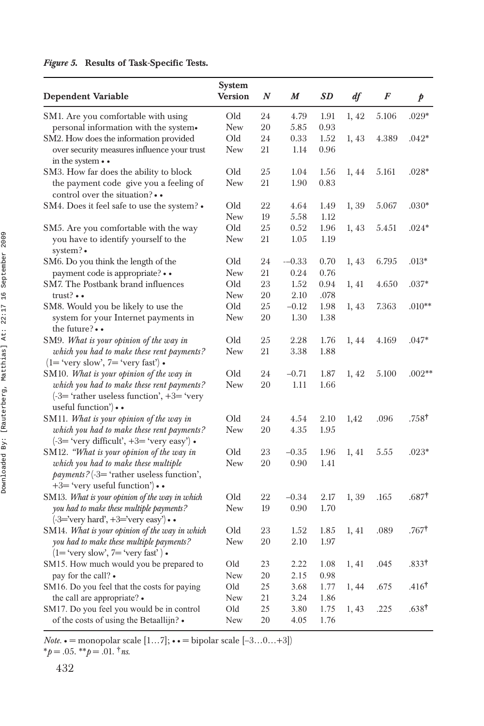#### *Figure 5***. Results of Task-Specific Tests.**

| <b>Dependent Variable</b>                                         | <b>System</b><br><b>Version</b> | N  | M       | SD   | df    | F     | p                 |
|-------------------------------------------------------------------|---------------------------------|----|---------|------|-------|-------|-------------------|
| SM1. Are you comfortable with using                               | Old                             | 24 | 4.79    | 1.91 | 1, 42 | 5.106 | $.029*$           |
| personal information with the system.                             | New                             | 20 | 5.85    | 0.93 |       |       |                   |
| SM2. How does the information provided                            | Old                             | 24 | 0.33    | 1.52 | 1, 43 | 4.389 | $.042*$           |
| over security measures influence your trust                       | New                             | 21 | 1.14    | 0.96 |       |       |                   |
| in the system $\cdot \cdot$                                       |                                 |    |         |      |       |       |                   |
| SM3. How far does the ability to block                            | Old                             | 25 | 1.04    | 1.56 | 1, 44 | 5.161 | $.028*$           |
| the payment code give you a feeling of                            | New                             | 21 | 1.90    | 0.83 |       |       |                   |
| control over the situation? • •                                   |                                 |    |         |      |       |       |                   |
| SM4. Does it feel safe to use the system? •                       | Old                             | 22 | 4.64    | 1.49 | 1, 39 | 5.067 | $.030*$           |
|                                                                   | New                             | 19 | 5.58    | 1.12 |       |       |                   |
| SM5. Are you comfortable with the way                             | Old                             | 25 | 0.52    | 1.96 | 1, 43 | 5.451 | $.024*$           |
| you have to identify yourself to the                              | <b>New</b>                      | 21 | 1.05    | 1.19 |       |       |                   |
| system? •                                                         |                                 |    |         |      |       |       |                   |
| SM6. Do you think the length of the                               | Old                             | 24 | $-0.33$ | 0.70 | 1, 43 | 6.795 | $.013*$           |
| payment code is appropriate? • •                                  | New                             | 21 | 0.24    | 0.76 |       |       |                   |
| SM7. The Postbank brand influences                                | Old                             | 23 | 1.52    | 0.94 | 1, 41 | 4.650 | $.037*$           |
| trust? $\bullet \bullet$                                          | New                             | 20 | 2.10    | .078 |       |       |                   |
| SM8. Would you be likely to use the                               | Old                             | 25 | $-0.12$ | 1.98 | 1, 43 | 7.363 | $.010**$          |
| system for your Internet payments in<br>the future? $\cdot \cdot$ | New                             | 20 | 1.30    | 1.38 |       |       |                   |
| SM9. What is your opinion of the way in                           | Old                             | 25 | 2.28    | 1.76 | 1, 44 | 4.169 | $.047*$           |
| which you had to make these rent payments?                        | New                             | 21 | 3.38    | 1.88 |       |       |                   |
| $(1 = 'very slow', 7 = 'very fast')$                              |                                 |    |         |      |       |       |                   |
| SM10. What is your opinion of the way in                          | Old                             | 24 | $-0.71$ | 1.87 | 1, 42 | 5.100 | $.002**$          |
| which you had to make these rent payments?                        | New                             | 20 | 1.11    | 1.66 |       |       |                   |
| $(-3)$ - 'rather useless function', $+3$ - 'very                  |                                 |    |         |      |       |       |                   |
| useful function') $\cdot \cdot$                                   |                                 |    |         |      |       |       |                   |
| SM11. What is your opinion of the way in                          | Old                             | 24 | 4.54    | 2.10 | 1,42  | .096  | .758†             |
| which you had to make these rent payments?                        | New                             | 20 | 4.35    | 1.95 |       |       |                   |
| $(-3=$ 'very difficult', $+3=$ 'very easy').                      |                                 |    |         |      |       |       |                   |
| SM12. "What is your opinion of the way in                         | Old                             | 23 | $-0.35$ | 1.96 | 1, 41 | 5.55  | $.023*$           |
| which you had to make these multiple                              | New                             | 20 | 0.90    | 1.41 |       |       |                   |
| $\textit{payments?}$ (-3= 'rather useless function',              |                                 |    |         |      |       |       |                   |
| $+3=$ 'very useful function') ••                                  |                                 |    |         |      |       |       |                   |
| SM13. What is your opinion of the way in which                    | Old                             | 22 | $-0.34$ | 2.17 | 1,39  | .165  | .687†             |
| you had to make these multiple payments?                          | New                             | 19 | 0.90    | 1.70 |       |       |                   |
| $(-3=$ 'very hard', $+3=$ 'very easy') • •                        |                                 |    |         |      |       |       |                   |
| SM14. What is your opinion of the way in which                    | Old                             | 23 | 1.52    | 1.85 | 1, 41 | .089  | .767†             |
| you had to make these multiple payments?                          | New                             | 20 | 2.10    | 1.97 |       |       |                   |
| $(1 = 'very slow', 7 = 'very fast')$                              |                                 |    |         |      |       |       |                   |
| SM15. How much would you be prepared to                           | Old                             | 23 | 2.22    | 1.08 | 1, 41 | .045  | $.833*$           |
| pay for the call? •                                               | New                             | 20 | 2.15    | 0.98 |       |       |                   |
| SM16. Do you feel that the costs for paying                       | Old                             | 25 | 3.68    | 1.77 | 1, 44 | .675  | .416 <sup>†</sup> |
| the call are appropriate? •                                       | New                             | 21 | 3.24    | 1.86 |       |       |                   |
| SM17. Do you feel you would be in control                         | Old                             | 25 | 3.80    | 1.75 | 1, 43 | .225  | $.638^{\dagger}$  |
| of the costs of using the Betaallijn? •                           | New                             | 20 | 4.05    | 1.76 |       |       |                   |

 $\textit{Note.} \bullet = \text{monopolar scale}~[1\ldots7]; \bullet\bullet = \text{bipolar scale}~[-3\ldots0\ldots+3])$ 

\**p* = .05. \*\**p* = .01. †*ns*.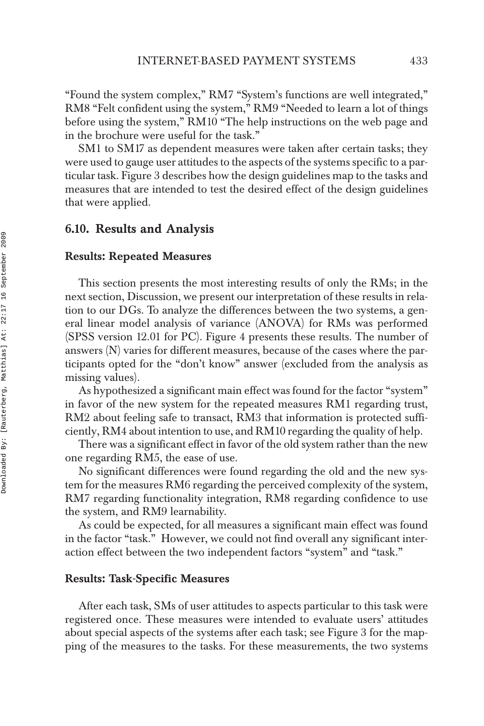"Found the system complex," RM7 "System's functions are well integrated," RM8 "Felt confident using the system," RM9 "Needed to learn a lot of things before using the system," RM10 "The help instructions on the web page and in the brochure were useful for the task."

SM1 to SM17 as dependent measures were taken after certain tasks; they were used to gauge user attitudes to the aspects of the systems specific to a particular task. Figure 3 describes how the design guidelines map to the tasks and measures that are intended to test the desired effect of the design guidelines that were applied.

#### **6.10. Results and Analysis**

#### **Results: Repeated Measures**

This section presents the most interesting results of only the RMs; in the next section, Discussion, we present our interpretation of these results in relation to our DGs. To analyze the differences between the two systems, a general linear model analysis of variance (ANOVA) for RMs was performed (SPSS version 12.01 for PC). Figure 4 presents these results. The number of answers (N) varies for different measures, because of the cases where the participants opted for the "don't know" answer (excluded from the analysis as missing values).

As hypothesized a significant main effect was found for the factor "system" in favor of the new system for the repeated measures RM1 regarding trust, RM2 about feeling safe to transact, RM3 that information is protected sufficiently, RM4 about intention to use, and RM10 regarding the quality of help.

There was a significant effect in favor of the old system rather than the new one regarding RM5, the ease of use.

No significant differences were found regarding the old and the new system for the measures RM6 regarding the perceived complexity of the system, RM7 regarding functionality integration, RM8 regarding confidence to use the system, and RM9 learnability.

As could be expected, for all measures a significant main effect was found in the factor "task." However, we could not find overall any significant interaction effect between the two independent factors "system" and "task."

#### **Results: Task-Specific Measures**

After each task, SMs of user attitudes to aspects particular to this task were registered once. These measures were intended to evaluate users' attitudes about special aspects of the systems after each task; see Figure 3 for the mapping of the measures to the tasks. For these measurements, the two systems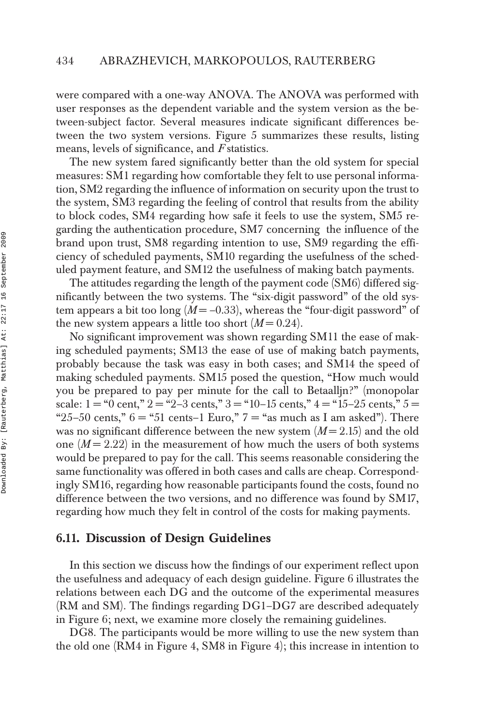were compared with a one-way ANOVA. The ANOVA was performed with user responses as the dependent variable and the system version as the between-subject factor. Several measures indicate significant differences between the two system versions. Figure 5 summarizes these results, listing means, levels of significance, and *F* statistics.

The new system fared significantly better than the old system for special measures: SM1 regarding how comfortable they felt to use personal information, SM2 regarding the influence of information on security upon the trust to the system, SM3 regarding the feeling of control that results from the ability to block codes, SM4 regarding how safe it feels to use the system, SM5 regarding the authentication procedure, SM7 concerning the influence of the brand upon trust, SM8 regarding intention to use, SM9 regarding the efficiency of scheduled payments, SM10 regarding the usefulness of the scheduled payment feature, and SM12 the usefulness of making batch payments.

The attitudes regarding the length of the payment code (SM6) differed significantly between the two systems. The "six-digit password" of the old system appears a bit too long  $(M = -0.33)$ , whereas the "four-digit password" of the new system appears a little too short  $(M = 0.24)$ .

No significant improvement was shown regarding SM11 the ease of making scheduled payments; SM13 the ease of use of making batch payments, probably because the task was easy in both cases; and SM14 the speed of making scheduled payments. SM15 posed the question, "How much would you be prepared to pay per minute for the call to Betaalljn?" (monopolar scale:  $1 = 0$  cent,"  $2 = 2-3$  cents,"  $3 = 10-15$  cents,"  $4 = 15-25$  cents,"  $5 = 15-25$ " $25-50$  cents,"  $6 = 51$  cents-1 Euro,"  $7 =$  "as much as I am asked"). There was no significant difference between the new system  $(M = 2.15)$  and the old one  $(M = 2.22)$  in the measurement of how much the users of both systems would be prepared to pay for the call. This seems reasonable considering the same functionality was offered in both cases and calls are cheap. Correspondingly SM16, regarding how reasonable participants found the costs, found no difference between the two versions, and no difference was found by SM17, regarding how much they felt in control of the costs for making payments.

#### **6.11. Discussion of Design Guidelines**

In this section we discuss how the findings of our experiment reflect upon the usefulness and adequacy of each design guideline. Figure 6 illustrates the relations between each DG and the outcome of the experimental measures (RM and SM). The findings regarding DG1–DG7 are described adequately in Figure 6; next, we examine more closely the remaining guidelines.

DG8. The participants would be more willing to use the new system than the old one (RM4 in Figure 4, SM8 in Figure 4); this increase in intention to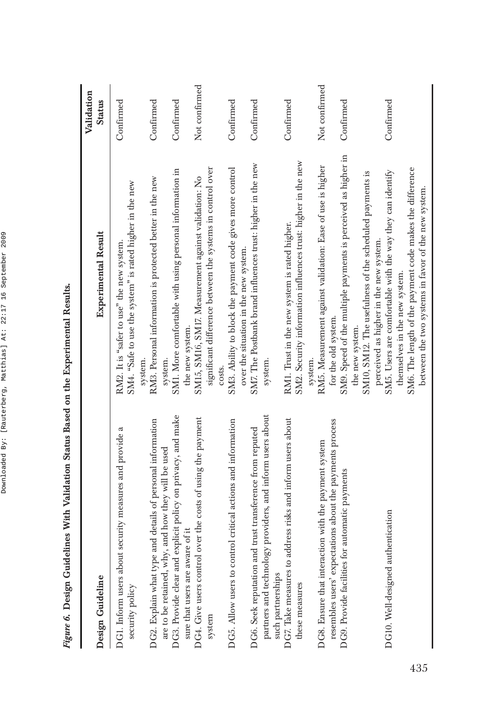| rigure o. Design Guidelines with validation Status based on the Experimental Results.                                                                |                                                                                                                                             |                             |
|------------------------------------------------------------------------------------------------------------------------------------------------------|---------------------------------------------------------------------------------------------------------------------------------------------|-----------------------------|
| Design Guideline                                                                                                                                     | <b>Experimental Result</b>                                                                                                                  | Validation<br><b>Status</b> |
| DG1. Inform users about security measures and provide a<br>security policy                                                                           | SM4. "Safe to use the system" is rated higher in the new<br>RM2. It is "safer to use" the new system.                                       | Confirmed                   |
| DG2. Explain what type and details of personal information                                                                                           | RM3. Personal information is protected better in the new<br>system.                                                                         | Confirmed                   |
| DG3. Provide clear and explicit policy on privacy, and make<br>are to be retained, why, and how they will be used<br>sure that users are aware of it | SM1. More comfortable with using personal information in<br>the new system.<br>svstem.                                                      | Confirmed                   |
| DG4. Give users control over the costs of using the payment<br>system                                                                                | significant difference between the systems in control over<br>SM15, SM16, SM17. Measurement against validation: No                          | Not confirmed               |
| DG5. Allow users to control critical actions and information                                                                                         | SM3. Ability to block the payment code gives more control<br>over the situation in the new system.<br>costs.                                | Confirmed                   |
| partners and technology providers, and inform users about<br>DG6. Seek reputation and trust transference from reputed                                | SM7. The Postbank brand influences trust: higher in the new<br>system.                                                                      | Confirmed                   |
| DG7. Take measures to address risks and inform users about<br>such partnerships<br>these measures                                                    | SM2. Security information influences trust: higher in the new<br>RM1. Trust in the new system is rated higher.                              | Confirmed                   |
| resembles users' expectations about the payments process<br>DG8. Ensure that interaction with the payment system                                     | RM5. Measurement against validation: Ease of use is higher<br>for the old system.<br>system                                                 | Not confirmed               |
| DG9. Provide facilities for automatic payments                                                                                                       | SM9. Speed of the multiple payments is perceived as higher in<br>SM10, SM12. The usefulness of the scheduled payments is<br>the new system. | Confirmed                   |
| DG10. Well-designed authentication                                                                                                                   | SM5. Users are comfortable with the way they can identify<br>perceived as higher in the new system.<br>themselves in the new system.        | Confirmed                   |
|                                                                                                                                                      | SM6. The length of the payment code makes the difference<br>between the two systems in favor of the new system.                             |                             |

Figure 6. Design Guidelines With Validation Status Based on the Experimental Results.  $\frac{1}{2}$  $t_{\alpha}$ l P $_{\alpha}$ ÷ É  $\ddot{=}$  $\frac{1}{2}$ Ě  $\frac{1}{2}$ င်္ os With Validation  $C$ uidalin ڊ<br>ٽ  $\tilde{\mathbf{r}}$  $E_{\ell m}$ 

Downloaded By: [Rauterberg, Matthias] At: 22:17 16 September 2009

Downloaded By: [Rauterberg, Matthias] At: 22:17 16 September 2009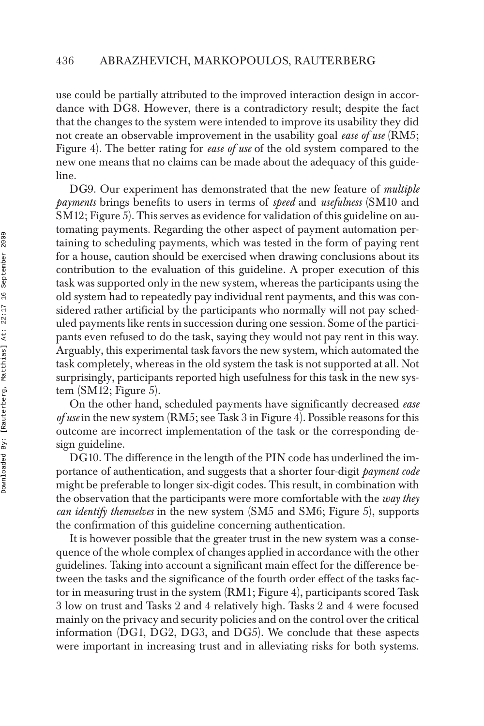use could be partially attributed to the improved interaction design in accordance with DG8. However, there is a contradictory result; despite the fact that the changes to the system were intended to improve its usability they did not create an observable improvement in the usability goal *ease of use* (RM5; Figure 4). The better rating for *ease of use* of the old system compared to the new one means that no claims can be made about the adequacy of this guideline.

DG9. Our experiment has demonstrated that the new feature of *multiple payments* brings benefits to users in terms of *speed* and *usefulness* (SM10 and SM12; Figure 5). This serves as evidence for validation of this guideline on automating payments. Regarding the other aspect of payment automation pertaining to scheduling payments, which was tested in the form of paying rent for a house, caution should be exercised when drawing conclusions about its contribution to the evaluation of this guideline. A proper execution of this task was supported only in the new system, whereas the participants using the old system had to repeatedly pay individual rent payments, and this was considered rather artificial by the participants who normally will not pay scheduled payments like rents in succession during one session. Some of the participants even refused to do the task, saying they would not pay rent in this way. Arguably, this experimental task favors the new system, which automated the task completely, whereas in the old system the task is not supported at all. Not surprisingly, participants reported high usefulness for this task in the new system (SM12; Figure 5).

On the other hand, scheduled payments have significantly decreased *ease of use* in the new system (RM5; see Task 3 in Figure 4). Possible reasons for this outcome are incorrect implementation of the task or the corresponding design guideline.

DG10. The difference in the length of the PIN code has underlined the importance of authentication, and suggests that a shorter four-digit *payment code* might be preferable to longer six-digit codes. This result, in combination with the observation that the participants were more comfortable with the *way they can identify themselves* in the new system (SM5 and SM6; Figure 5), supports the confirmation of this guideline concerning authentication.

It is however possible that the greater trust in the new system was a consequence of the whole complex of changes applied in accordance with the other guidelines. Taking into account a significant main effect for the difference between the tasks and the significance of the fourth order effect of the tasks factor in measuring trust in the system (RM1; Figure 4), participants scored Task 3 low on trust and Tasks 2 and 4 relatively high. Tasks 2 and 4 were focused mainly on the privacy and security policies and on the control over the critical information (DG1, DG2, DG3, and DG5). We conclude that these aspects were important in increasing trust and in alleviating risks for both systems.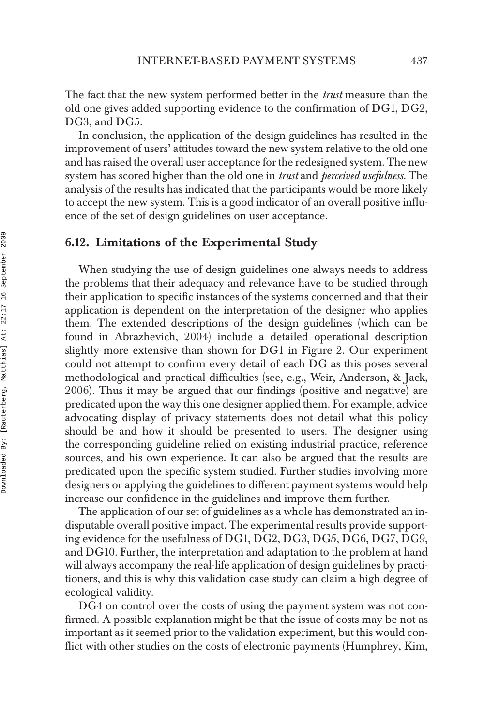The fact that the new system performed better in the *trust* measure than the old one gives added supporting evidence to the confirmation of DG1, DG2, DG3, and DG5.

In conclusion, the application of the design guidelines has resulted in the improvement of users' attitudes toward the new system relative to the old one and has raised the overall user acceptance for the redesigned system. The new system has scored higher than the old one in *trust* and *perceived usefulness*. The analysis of the results has indicated that the participants would be more likely to accept the new system. This is a good indicator of an overall positive influence of the set of design guidelines on user acceptance.

## **6.12. Limitations of the Experimental Study**

When studying the use of design guidelines one always needs to address the problems that their adequacy and relevance have to be studied through their application to specific instances of the systems concerned and that their application is dependent on the interpretation of the designer who applies them. The extended descriptions of the design guidelines (which can be found in Abrazhevich, 2004) include a detailed operational description slightly more extensive than shown for DG1 in Figure 2. Our experiment could not attempt to confirm every detail of each DG as this poses several methodological and practical difficulties (see, e.g., Weir, Anderson, & Jack, 2006). Thus it may be argued that our findings (positive and negative) are predicated upon the way this one designer applied them. For example, advice advocating display of privacy statements does not detail what this policy should be and how it should be presented to users. The designer using the corresponding guideline relied on existing industrial practice, reference sources, and his own experience. It can also be argued that the results are predicated upon the specific system studied. Further studies involving more designers or applying the guidelines to different payment systems would help increase our confidence in the guidelines and improve them further.

The application of our set of guidelines as a whole has demonstrated an indisputable overall positive impact. The experimental results provide supporting evidence for the usefulness of DG1, DG2, DG3, DG5, DG6, DG7, DG9, and DG10. Further, the interpretation and adaptation to the problem at hand will always accompany the real-life application of design guidelines by practitioners, and this is why this validation case study can claim a high degree of ecological validity.

DG4 on control over the costs of using the payment system was not confirmed. A possible explanation might be that the issue of costs may be not as important as it seemed prior to the validation experiment, but this would conflict with other studies on the costs of electronic payments (Humphrey, Kim,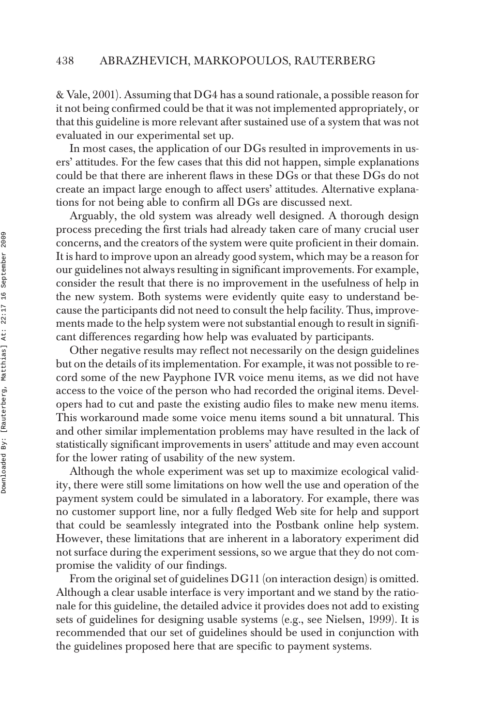& Vale, 2001). Assuming that DG4 has a sound rationale, a possible reason for it not being confirmed could be that it was not implemented appropriately, or that this guideline is more relevant after sustained use of a system that was not evaluated in our experimental set up.

In most cases, the application of our DGs resulted in improvements in users' attitudes. For the few cases that this did not happen, simple explanations could be that there are inherent flaws in these DGs or that these DGs do not create an impact large enough to affect users' attitudes. Alternative explanations for not being able to confirm all DGs are discussed next.

Arguably, the old system was already well designed. A thorough design process preceding the first trials had already taken care of many crucial user concerns, and the creators of the system were quite proficient in their domain. It is hard to improve upon an already good system, which may be a reason for our guidelines not always resulting in significant improvements. For example, consider the result that there is no improvement in the usefulness of help in the new system. Both systems were evidently quite easy to understand because the participants did not need to consult the help facility. Thus, improvements made to the help system were not substantial enough to result in significant differences regarding how help was evaluated by participants.

Other negative results may reflect not necessarily on the design guidelines but on the details of its implementation. For example, it was not possible to record some of the new Payphone IVR voice menu items, as we did not have access to the voice of the person who had recorded the original items. Developers had to cut and paste the existing audio files to make new menu items. This workaround made some voice menu items sound a bit unnatural. This and other similar implementation problems may have resulted in the lack of statistically significant improvements in users' attitude and may even account for the lower rating of usability of the new system.

Although the whole experiment was set up to maximize ecological validity, there were still some limitations on how well the use and operation of the payment system could be simulated in a laboratory. For example, there was no customer support line, nor a fully fledged Web site for help and support that could be seamlessly integrated into the Postbank online help system. However, these limitations that are inherent in a laboratory experiment did not surface during the experiment sessions, so we argue that they do not compromise the validity of our findings.

From the original set of guidelines DG11 (on interaction design) is omitted. Although a clear usable interface is very important and we stand by the rationale for this guideline, the detailed advice it provides does not add to existing sets of guidelines for designing usable systems (e.g., see Nielsen, 1999). It is recommended that our set of guidelines should be used in conjunction with the guidelines proposed here that are specific to payment systems.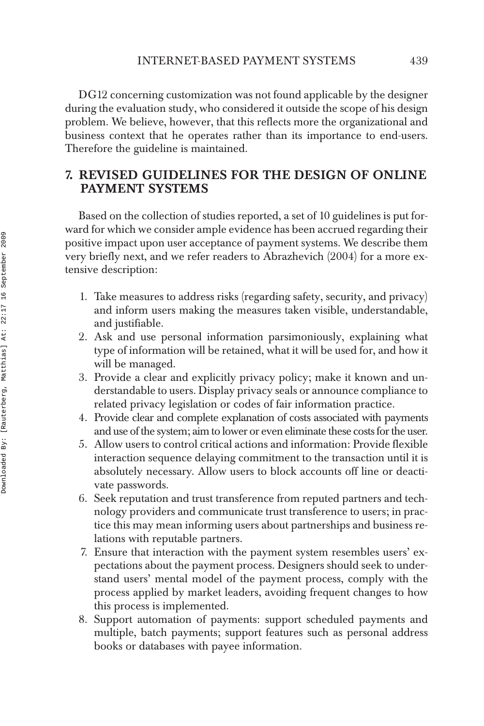DG12 concerning customization was not found applicable by the designer during the evaluation study, who considered it outside the scope of his design problem. We believe, however, that this reflects more the organizational and business context that he operates rather than its importance to end-users. Therefore the guideline is maintained.

# **7. REVISED GUIDELINES FOR THE DESIGN OF ONLINE PAYMENT SYSTEMS**

Based on the collection of studies reported, a set of 10 guidelines is put forward for which we consider ample evidence has been accrued regarding their positive impact upon user acceptance of payment systems. We describe them very briefly next, and we refer readers to Abrazhevich (2004) for a more extensive description:

- 1. Take measures to address risks (regarding safety, security, and privacy) and inform users making the measures taken visible, understandable, and justifiable.
- 2. Ask and use personal information parsimoniously, explaining what type of information will be retained, what it will be used for, and how it will be managed.
- 3. Provide a clear and explicitly privacy policy; make it known and understandable to users. Display privacy seals or announce compliance to related privacy legislation or codes of fair information practice.
- 4. Provide clear and complete explanation of costs associated with payments and use of the system; aim to lower or even eliminate these costs for the user.
- 5. Allow users to control critical actions and information: Provide flexible interaction sequence delaying commitment to the transaction until it is absolutely necessary. Allow users to block accounts off line or deactivate passwords.
- 6. Seek reputation and trust transference from reputed partners and technology providers and communicate trust transference to users; in practice this may mean informing users about partnerships and business relations with reputable partners.
- 7. Ensure that interaction with the payment system resembles users' expectations about the payment process. Designers should seek to understand users' mental model of the payment process, comply with the process applied by market leaders, avoiding frequent changes to how this process is implemented.
- 8. Support automation of payments: support scheduled payments and multiple, batch payments; support features such as personal address books or databases with payee information.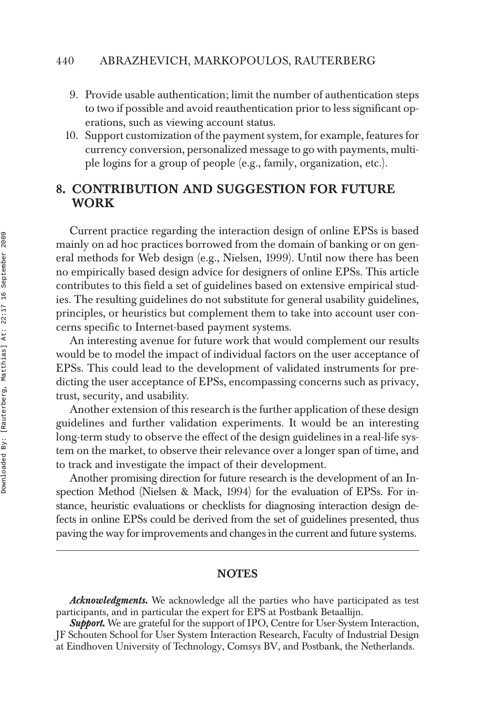#### 440 ABRAZHEVICH, MARKOPOULOS, RAUTERBERG

- 9. Provide usable authentication; limit the number of authentication steps to two if possible and avoid reauthentication prior to less significant operations, such as viewing account status.
- 10. Support customization of the payment system, for example, features for currency conversion, personalized message to go with payments, multiple logins for a group of people (e.g., family, organization, etc.).

# **8. CONTRIBUTION AND SUGGESTION FOR FUTURE WORK**

Current practice regarding the interaction design of online EPSs is based mainly on ad hoc practices borrowed from the domain of banking or on general methods for Web design (e.g., Nielsen, 1999). Until now there has been no empirically based design advice for designers of online EPSs. This article contributes to this field a set of guidelines based on extensive empirical studies. The resulting guidelines do not substitute for general usability guidelines, principles, or heuristics but complement them to take into account user concerns specific to Internet-based payment systems.

An interesting avenue for future work that would complement our results would be to model the impact of individual factors on the user acceptance of EPSs. This could lead to the development of validated instruments for predicting the user acceptance of EPSs, encompassing concerns such as privacy, trust, security, and usability.

Another extension of this research is the further application of these design guidelines and further validation experiments. It would be an interesting long-term study to observe the effect of the design guidelines in a real-life system on the market, to observe their relevance over a longer span of time, and to track and investigate the impact of their development.

Another promising direction for future research is the development of an Inspection Method (Nielsen & Mack, 1994) for the evaluation of EPSs. For instance, heuristic evaluations or checklists for diagnosing interaction design defects in online EPSs could be derived from the set of guidelines presented, thus paving the way for improvements and changes in the current and future systems.

#### **NOTES**

*Acknowledgments.* We acknowledge all the parties who have participated as test participants, and in particular the expert for EPS at Postbank Betaallijn.

*Support.* We are grateful for the support of IPO, Centre for User-System Interaction, JF Schouten School for User System Interaction Research, Faculty of Industrial Design at Eindhoven University of Technology, Comsys BV, and Postbank, the Netherlands.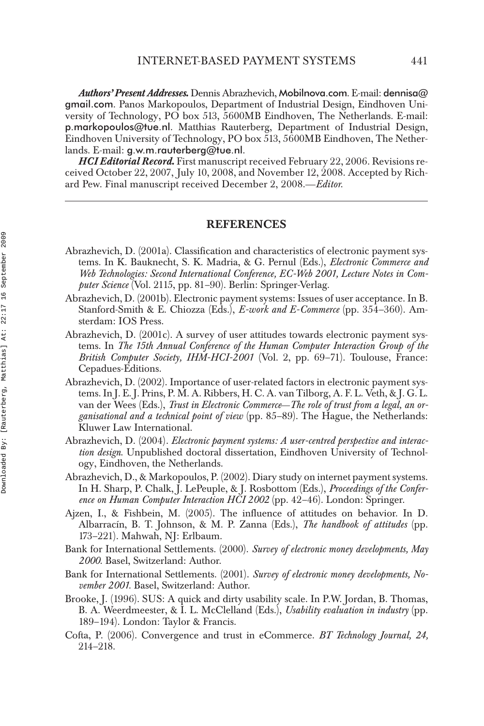*Authors' Present Addresses.* Dennis Abrazhevich, Mobilnova.com. E-mail: dennisa@ gmail.com. Panos Markopoulos, Department of Industrial Design, Eindhoven University of Technology, PO box 513, 5600MB Eindhoven, The Netherlands. E-mail: p.markopoulos@tue.nl. Matthias Rauterberg, Department of Industrial Design, Eindhoven University of Technology, PO box 513, 5600MB Eindhoven, The Netherlands. E-mail: g.w.m.rauterberg@tue.nl.

*HCI Editorial Record.* First manuscript received February 22, 2006. Revisions received October 22, 2007, July 10, 2008, and November 12, 2008. Accepted by Richard Pew. Final manuscript received December 2, 2008.—*Editor*.

#### **REFERENCES**

- Abrazhevich, D. (2001a). Classification and characteristics of electronic payment systems. In K. Bauknecht, S. K. Madria, & G. Pernul (Eds.), *Electronic Commerce and Web Technologies: Second International Conference, EC-Web 2001, Lecture Notes in Computer Science* (Vol. 2115, pp. 81–90). Berlin: Springer-Verlag.
- Abrazhevich, D. (2001b). Electronic payment systems: Issues of user acceptance. In B. Stanford-Smith & E. Chiozza (Eds.), *E-work and E-Commerce* (pp. 354–360). Amsterdam: IOS Press.
- Abrazhevich, D. (2001c). A survey of user attitudes towards electronic payment systems. In *The 15th Annual Conference of the Human Computer Interaction Group of the British Computer Society, IHM-HCI-2001* (Vol. 2, pp. 69–71). Toulouse, France: Cepadues-Editions.
- Abrazhevich, D. (2002). Importance of user-related factors in electronic payment systems. In J. E. J. Prins, P. M. A. Ribbers, H. C. A. van Tilborg, A. F. L. Veth, & J. G. L. van der Wees (Eds.), *Trust in Electronic Commerce—The role of trust from a legal, an organisational and a technical point of view* (pp. 85–89). The Hague, the Netherlands: Kluwer Law International.
- Abrazhevich, D. (2004)*. Electronic payment systems: A user-centred perspective and interaction design*. Unpublished doctoral dissertation, Eindhoven University of Technology, Eindhoven, the Netherlands.
- Abrazhevich, D., & Markopoulos, P. (2002). Diary study on internet payment systems. In H. Sharp, P. Chalk, J. LePeuple, & J. Rosbottom (Eds.), *Proceedings of the Conference on Human Computer Interaction HCI 2002* (pp. 42–46). London: Springer.
- Ajzen, I., & Fishbein, M. (2005). The influence of attitudes on behavior. In D. Albarracín, B. T. Johnson, & M. P. Zanna (Eds.), *The handbook of attitudes* (pp. 173–221). Mahwah, NJ: Erlbaum.
- Bank for International Settlements. (2000). *Survey of electronic money developments, May 2000*. Basel, Switzerland: Author.
- Bank for International Settlements. (2001). *Survey of electronic money developments, November 2001*. Basel, Switzerland: Author.
- Brooke, J. (1996). SUS: A quick and dirty usability scale. In P.W. Jordan, B. Thomas, B. A. Weerdmeester, & I. L. McClelland (Eds.), *Usability evaluation in industry* (pp. 189–194). London: Taylor & Francis.
- Cofta, P. (2006). Convergence and trust in eCommerce. *BT Technology Journal, 24,* 214–218.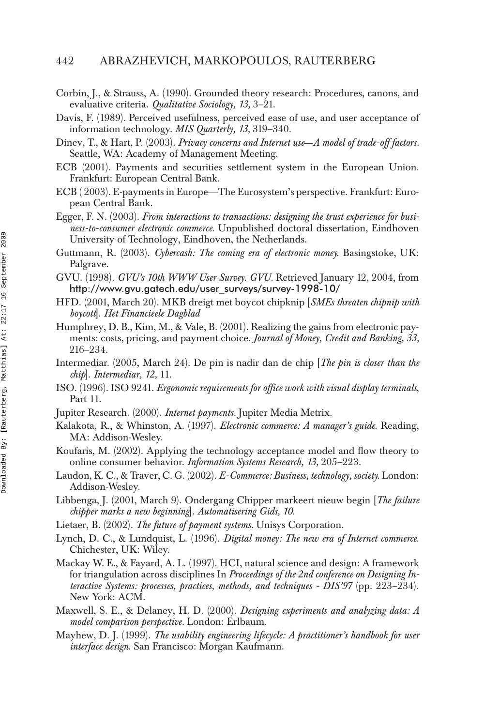Corbin, J., & Strauss, A. (1990). Grounded theory research: Procedures, canons, and evaluative criteria. *Qualitative Sociology, 13,* 3–21.

Davis, F. (1989). Perceived usefulness, perceived ease of use, and user acceptance of information technology. *MIS Quarterly, 13,* 319–340.

Dinev, T., & Hart, P. (2003). *Privacy concerns and Internet use—A model of trade-off factors.* Seattle, WA: Academy of Management Meeting.

- ECB (2001). Payments and securities settlement system in the European Union. Frankfurt: European Central Bank.
- ECB ( 2003). E-payments in Europe—The Eurosystem's perspective. Frankfurt: European Central Bank.

Egger, F. N. (2003). *From interactions to transactions: designing the trust experience for business-to-consumer electronic commerce*. Unpublished doctoral dissertation, Eindhoven University of Technology, Eindhoven, the Netherlands.

Guttmann, R. (2003). *Cybercash: The coming era of electronic money*. Basingstoke, UK: Palgrave.

- GVU. (1998). *GVU's 10th WWW User Survey. GVU.* Retrieved January 12, 2004, from http://www.gvu.gatech.edu/user\_surveys/survey-1998-10/
- HFD. (2001, March 20). MKB dreigt met boycot chipknip [*SMEs threaten chipnip with boycott*]. *Het Financieele Dagblad*
- Humphrey, D. B., Kim, M., & Vale, B. (2001). Realizing the gains from electronic payments: costs, pricing, and payment choice. *Journal of Money, Credit and Banking, 33,* 216–234.
- Intermediar. (2005, March 24). De pin is nadir dan de chip [*The pin is closer than the chip*]. *Intermediar, 12,* 11.
- ISO. (1996). ISO 9241. *Ergonomic requirements for office work with visual display terminals*, Part 11.
- Jupiter Research. (2000). *Internet payments.* Jupiter Media Metrix.
- Kalakota, R., & Whinston, A. (1997). *Electronic commerce: A manager's guide*. Reading, MA: Addison-Wesley.
- Koufaris, M. (2002). Applying the technology acceptance model and flow theory to online consumer behavior. *Information Systems Research, 13,* 205–223.
- Laudon, K. C., & Traver, C. G. (2002). *E-Commerce: Business, technology, society*. London: Addison-Wesley.
- Libbenga, J. (2001, March 9). Ondergang Chipper markeert nieuw begin [*The failure chipper marks a new beginning*]. *Automatisering Gids, 10*.
- Lietaer, B. (2002). *The future of payment systems.* Unisys Corporation.
- Lynch, D. C., & Lundquist, L. (1996). *Digital money: The new era of Internet commerce*. Chichester, UK: Wiley.
- Mackay W. E., & Fayard, A. L. (1997). HCI, natural science and design: A framework for triangulation across disciplines In *Proceedings of the 2nd conference on Designing Interactive Systems: processes, practices, methods, and techniques - DIS'97* (pp. 223–234). New York: ACM.
- Maxwell, S. E., & Delaney, H. D. (2000). *Designing experiments and analyzing data: A model comparison perspective.* London: Erlbaum.
- Mayhew, D. J. (1999). *The usability engineering lifecycle: A practitioner's handbook for user interface design*. San Francisco: Morgan Kaufmann.